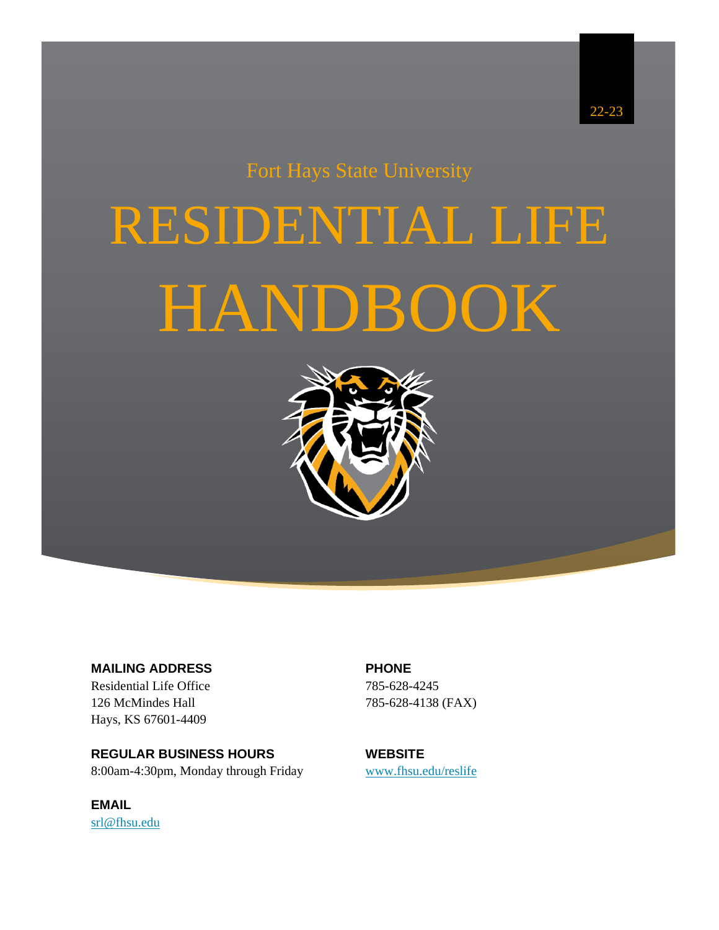## Fort Hays State University

# RESIDENTIAL LIFE HANDBOOK



**MAILING ADDRESS** Residential Life Office 126 McMindes Hall Hays, KS 67601-4409

**REGULAR BUSINESS HOURS** 8:00am-4:30pm, Monday through Friday

**EMAIL** [srl@fhsu.edu](mailto:srl@fhsu.edu) **PHONE** 785-628-4245 785-628-4138 (FAX)

**WEBSITE** [www.fhsu.edu/reslife](http://www.fhsu.edu/reslife)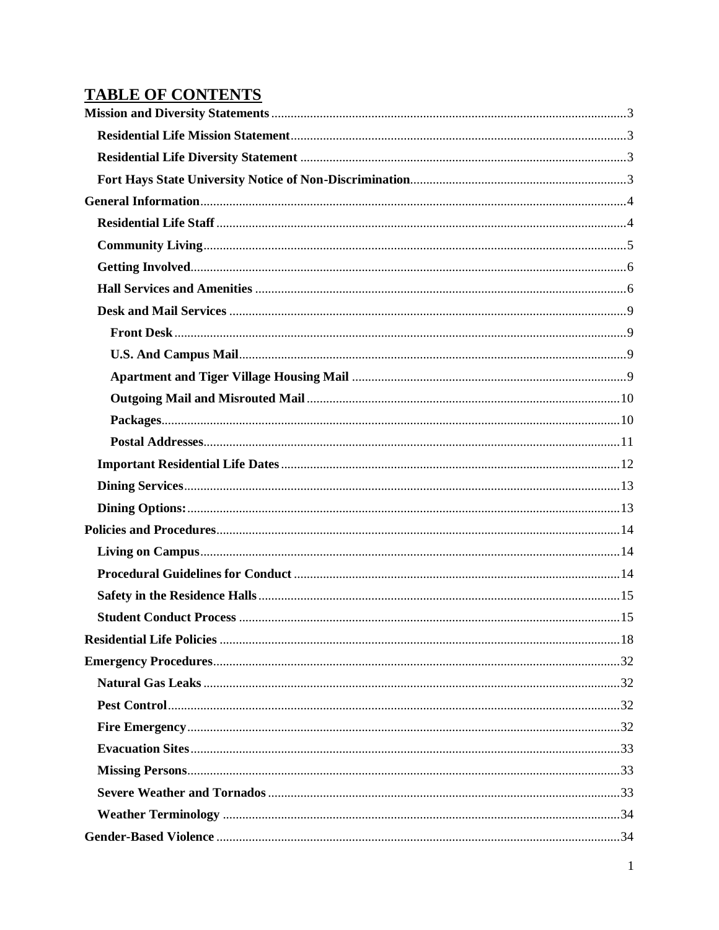### **TABLE OF CONTENTS**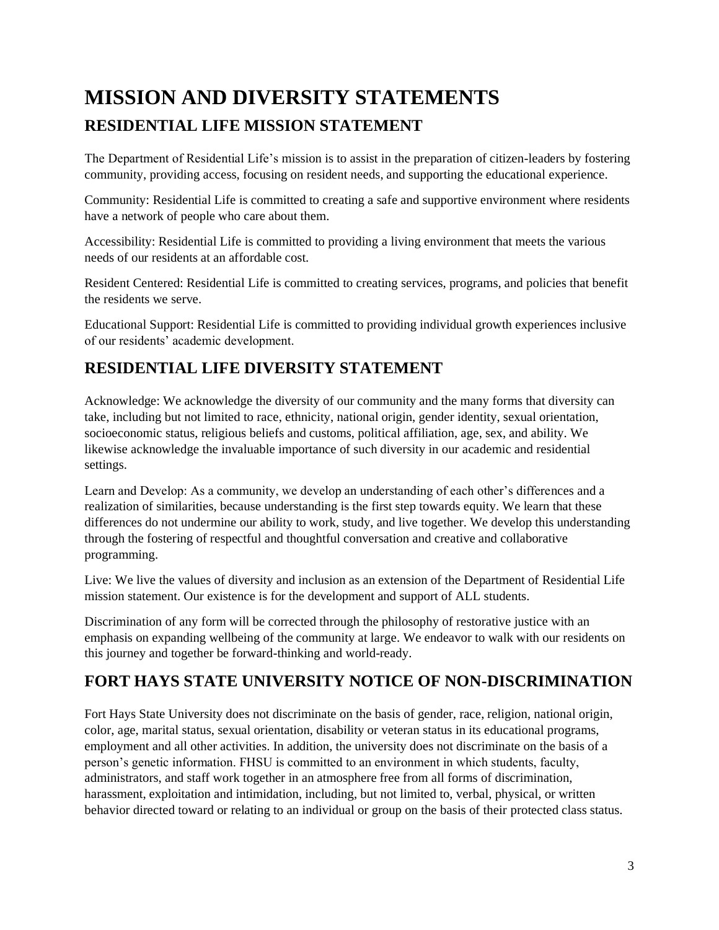# <span id="page-3-1"></span><span id="page-3-0"></span>**MISSION AND DIVERSITY STATEMENTS RESIDENTIAL LIFE MISSION STATEMENT**

The Department of Residential Life's mission is to assist in the preparation of citizen-leaders by fostering community, providing access, focusing on resident needs, and supporting the educational experience.

Community: Residential Life is committed to creating a safe and supportive environment where residents have a network of people who care about them.

Accessibility: Residential Life is committed to providing a living environment that meets the various needs of our residents at an affordable cost.

Resident Centered: Residential Life is committed to creating services, programs, and policies that benefit the residents we serve.

Educational Support: Residential Life is committed to providing individual growth experiences inclusive of our residents' academic development.

#### <span id="page-3-2"></span>**RESIDENTIAL LIFE DIVERSITY STATEMENT**

Acknowledge: We acknowledge the diversity of our community and the many forms that diversity can take, including but not limited to race, ethnicity, national origin, gender identity, sexual orientation, socioeconomic status, religious beliefs and customs, political affiliation, age, sex, and ability. We likewise acknowledge the invaluable importance of such diversity in our academic and residential settings.

Learn and Develop: As a community, we develop an understanding of each other's differences and a realization of similarities, because understanding is the first step towards equity. We learn that these differences do not undermine our ability to work, study, and live together. We develop this understanding through the fostering of respectful and thoughtful conversation and creative and collaborative programming.

Live: We live the values of diversity and inclusion as an extension of the Department of Residential Life mission statement. Our existence is for the development and support of ALL students.

Discrimination of any form will be corrected through the philosophy of restorative justice with an emphasis on expanding wellbeing of the community at large. We endeavor to walk with our residents on this journey and together be forward-thinking and world-ready.

#### <span id="page-3-3"></span>**FORT HAYS STATE UNIVERSITY NOTICE OF NON-DISCRIMINATION**

Fort Hays State University does not discriminate on the basis of gender, race, religion, national origin, color, age, marital status, sexual orientation, disability or veteran status in its educational programs, employment and all other activities. In addition, the university does not discriminate on the basis of a person's genetic information. FHSU is committed to an environment in which students, faculty, administrators, and staff work together in an atmosphere free from all forms of discrimination, harassment, exploitation and intimidation, including, but not limited to, verbal, physical, or written behavior directed toward or relating to an individual or group on the basis of their protected class status.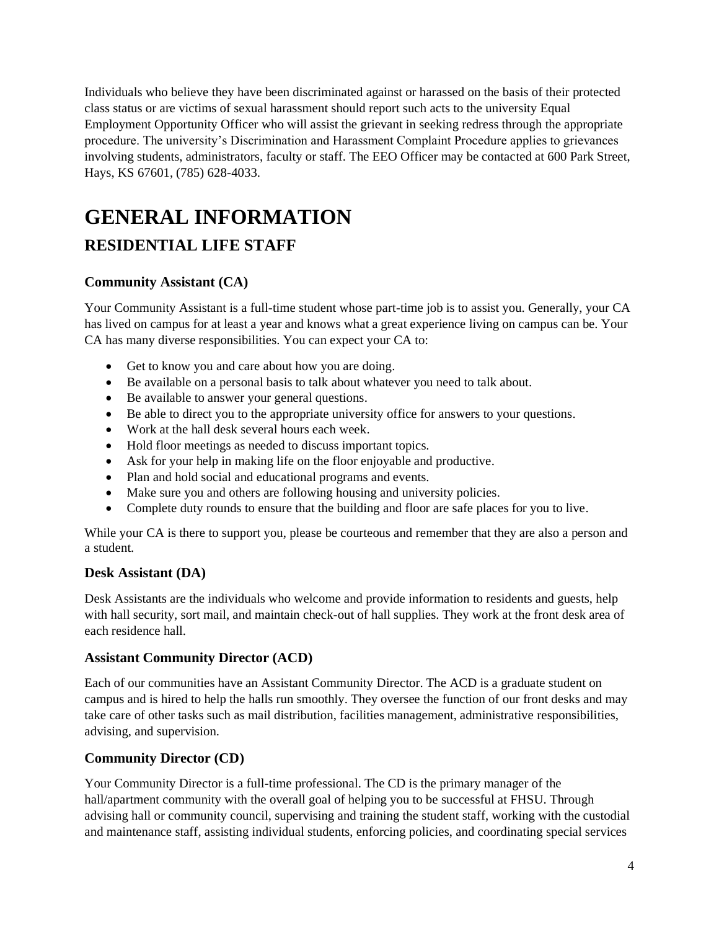Individuals who believe they have been discriminated against or harassed on the basis of their protected class status or are victims of sexual harassment should report such acts to the university Equal Employment Opportunity Officer who will assist the grievant in seeking redress through the appropriate procedure. The university's Discrimination and Harassment Complaint Procedure applies to grievances involving students, administrators, faculty or staff. The EEO Officer may be contacted at 600 Park Street, Hays, KS 67601, (785) 628-4033.

# <span id="page-4-0"></span>**GENERAL INFORMATION**

#### <span id="page-4-1"></span>**RESIDENTIAL LIFE STAFF**

#### **Community Assistant (CA)**

Your Community Assistant is a full-time student whose part-time job is to assist you. Generally, your CA has lived on campus for at least a year and knows what a great experience living on campus can be. Your CA has many diverse responsibilities. You can expect your CA to:

- Get to know you and care about how you are doing.
- Be available on a personal basis to talk about whatever you need to talk about.
- Be available to answer your general questions.
- Be able to direct you to the appropriate university office for answers to your questions.
- Work at the hall desk several hours each week.
- Hold floor meetings as needed to discuss important topics.
- Ask for your help in making life on the floor enjoyable and productive.
- Plan and hold social and educational programs and events.
- Make sure you and others are following housing and university policies.
- Complete duty rounds to ensure that the building and floor are safe places for you to live.

While your CA is there to support you, please be courteous and remember that they are also a person and a student.

#### **Desk Assistant (DA)**

Desk Assistants are the individuals who welcome and provide information to residents and guests, help with hall security, sort mail, and maintain check-out of hall supplies. They work at the front desk area of each residence hall.

#### **Assistant Community Director (ACD)**

Each of our communities have an Assistant Community Director. The ACD is a graduate student on campus and is hired to help the halls run smoothly. They oversee the function of our front desks and may take care of other tasks such as mail distribution, facilities management, administrative responsibilities, advising, and supervision.

#### **Community Director (CD)**

Your Community Director is a full-time professional. The CD is the primary manager of the hall/apartment community with the overall goal of helping you to be successful at FHSU. Through advising hall or community council, supervising and training the student staff, working with the custodial and maintenance staff, assisting individual students, enforcing policies, and coordinating special services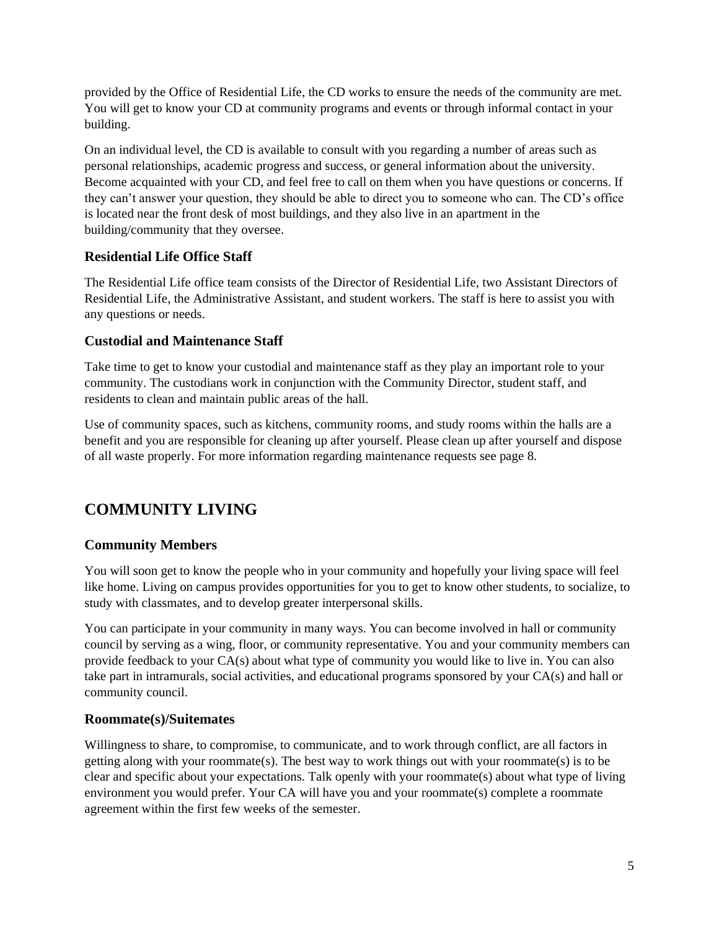provided by the Office of Residential Life, the CD works to ensure the needs of the community are met. You will get to know your CD at community programs and events or through informal contact in your building.

On an individual level, the CD is available to consult with you regarding a number of areas such as personal relationships, academic progress and success, or general information about the university. Become acquainted with your CD, and feel free to call on them when you have questions or concerns. If they can't answer your question, they should be able to direct you to someone who can. The CD's office is located near the front desk of most buildings, and they also live in an apartment in the building/community that they oversee.

#### **Residential Life Office Staff**

The Residential Life office team consists of the Director of Residential Life, two Assistant Directors of Residential Life, the Administrative Assistant, and student workers. The staff is here to assist you with any questions or needs.

#### **Custodial and Maintenance Staff**

Take time to get to know your custodial and maintenance staff as they play an important role to your community. The custodians work in conjunction with the Community Director, student staff, and residents to clean and maintain public areas of the hall.

Use of community spaces, such as kitchens, community rooms, and study rooms within the halls are a benefit and you are responsible for cleaning up after yourself. Please clean up after yourself and dispose of all waste properly. For more information regarding maintenance requests see page 8.

#### <span id="page-5-0"></span>**COMMUNITY LIVING**

#### **Community Members**

You will soon get to know the people who in your community and hopefully your living space will feel like home. Living on campus provides opportunities for you to get to know other students, to socialize, to study with classmates, and to develop greater interpersonal skills.

You can participate in your community in many ways. You can become involved in hall or community council by serving as a wing, floor, or community representative. You and your community members can provide feedback to your CA(s) about what type of community you would like to live in. You can also take part in intramurals, social activities, and educational programs sponsored by your CA(s) and hall or community council.

#### **Roommate(s)/Suitemates**

Willingness to share, to compromise, to communicate, and to work through conflict, are all factors in getting along with your roommate(s). The best way to work things out with your roommate(s) is to be clear and specific about your expectations. Talk openly with your roommate(s) about what type of living environment you would prefer. Your CA will have you and your roommate(s) complete a roommate agreement within the first few weeks of the semester.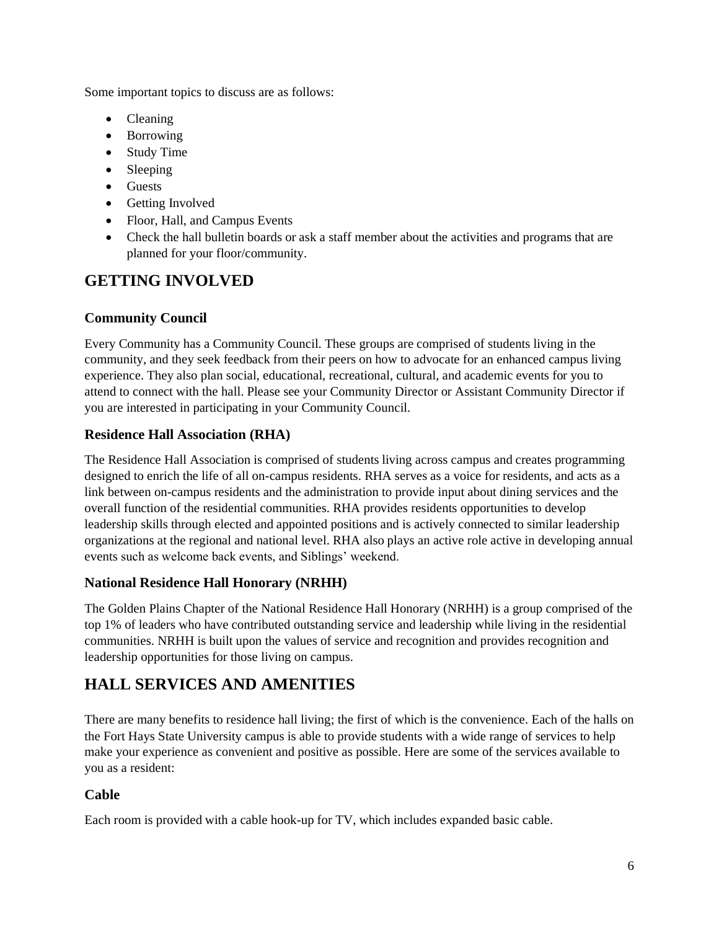Some important topics to discuss are as follows:

- Cleaning
- Borrowing
- Study Time
- Sleeping
- Guests
- Getting Involved
- Floor, Hall, and Campus Events
- Check the hall bulletin boards or ask a staff member about the activities and programs that are planned for your floor/community.

#### <span id="page-6-0"></span>**GETTING INVOLVED**

#### **Community Council**

Every Community has a Community Council. These groups are comprised of students living in the community, and they seek feedback from their peers on how to advocate for an enhanced campus living experience. They also plan social, educational, recreational, cultural, and academic events for you to attend to connect with the hall. Please see your Community Director or Assistant Community Director if you are interested in participating in your Community Council.

#### **Residence Hall Association (RHA)**

The Residence Hall Association is comprised of students living across campus and creates programming designed to enrich the life of all on-campus residents. RHA serves as a voice for residents, and acts as a link between on-campus residents and the administration to provide input about dining services and the overall function of the residential communities. RHA provides residents opportunities to develop leadership skills through elected and appointed positions and is actively connected to similar leadership organizations at the regional and national level. RHA also plays an active role active in developing annual events such as welcome back events, and Siblings' weekend.

#### **National Residence Hall Honorary (NRHH)**

The Golden Plains Chapter of the National Residence Hall Honorary (NRHH) is a group comprised of the top 1% of leaders who have contributed outstanding service and leadership while living in the residential communities. NRHH is built upon the values of service and recognition and provides recognition and leadership opportunities for those living on campus.

#### <span id="page-6-1"></span>**HALL SERVICES AND AMENITIES**

There are many benefits to residence hall living; the first of which is the convenience. Each of the halls on the Fort Hays State University campus is able to provide students with a wide range of services to help make your experience as convenient and positive as possible. Here are some of the services available to you as a resident:

#### **Cable**

Each room is provided with a cable hook-up for TV, which includes expanded basic cable.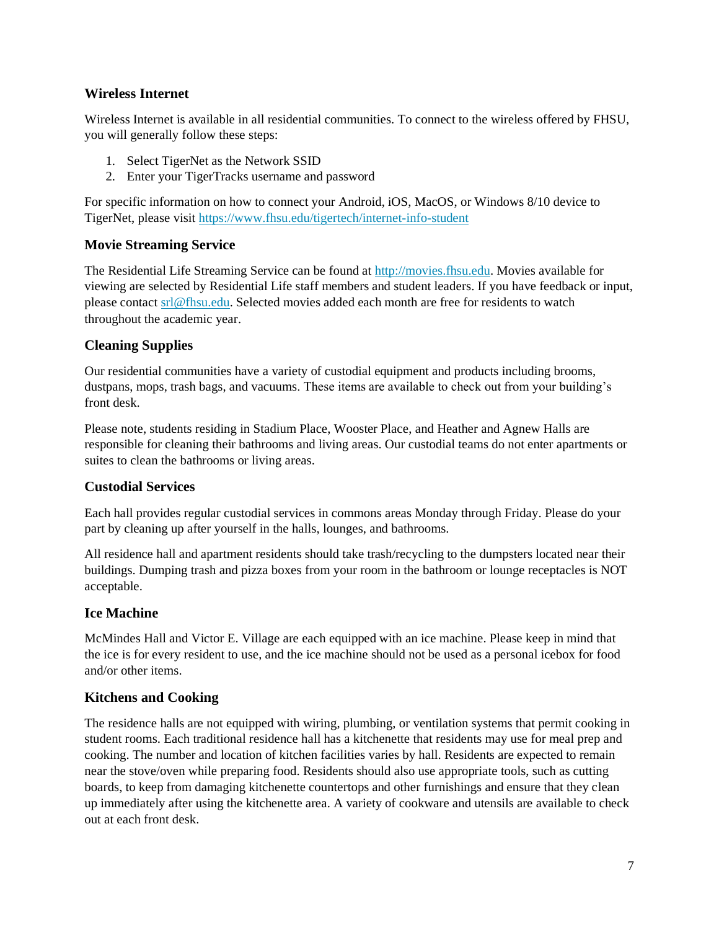#### **Wireless Internet**

Wireless Internet is available in all residential communities. To connect to the wireless offered by FHSU, you will generally follow these steps:

- 1. Select TigerNet as the Network SSID
- 2. Enter your TigerTracks username and password

For specific information on how to connect your Android, iOS, MacOS, or Windows 8/10 device to TigerNet, please visit<https://www.fhsu.edu/tigertech/internet-info-student>

#### **Movie Streaming Service**

The Residential Life Streaming Service can be found at [http://movies.fhsu.edu.](http://movies.fhsu.edu/) Movies available for viewing are selected by Residential Life staff members and student leaders. If you have feedback or input, please contac[t srl@fhsu.edu.](mailto:srl@fhsu.edu) Selected movies added each month are free for residents to watch throughout the academic year.

#### **Cleaning Supplies**

Our residential communities have a variety of custodial equipment and products including brooms, dustpans, mops, trash bags, and vacuums. These items are available to check out from your building's front desk.

Please note, students residing in Stadium Place, Wooster Place, and Heather and Agnew Halls are responsible for cleaning their bathrooms and living areas. Our custodial teams do not enter apartments or suites to clean the bathrooms or living areas.

#### **Custodial Services**

Each hall provides regular custodial services in commons areas Monday through Friday. Please do your part by cleaning up after yourself in the halls, lounges, and bathrooms.

All residence hall and apartment residents should take trash/recycling to the dumpsters located near their buildings. Dumping trash and pizza boxes from your room in the bathroom or lounge receptacles is NOT acceptable.

#### **Ice Machine**

McMindes Hall and Victor E. Village are each equipped with an ice machine. Please keep in mind that the ice is for every resident to use, and the ice machine should not be used as a personal icebox for food and/or other items.

#### **Kitchens and Cooking**

The residence halls are not equipped with wiring, plumbing, or ventilation systems that permit cooking in student rooms. Each traditional residence hall has a kitchenette that residents may use for meal prep and cooking. The number and location of kitchen facilities varies by hall. Residents are expected to remain near the stove/oven while preparing food. Residents should also use appropriate tools, such as cutting boards, to keep from damaging kitchenette countertops and other furnishings and ensure that they clean up immediately after using the kitchenette area. A variety of cookware and utensils are available to check out at each front desk.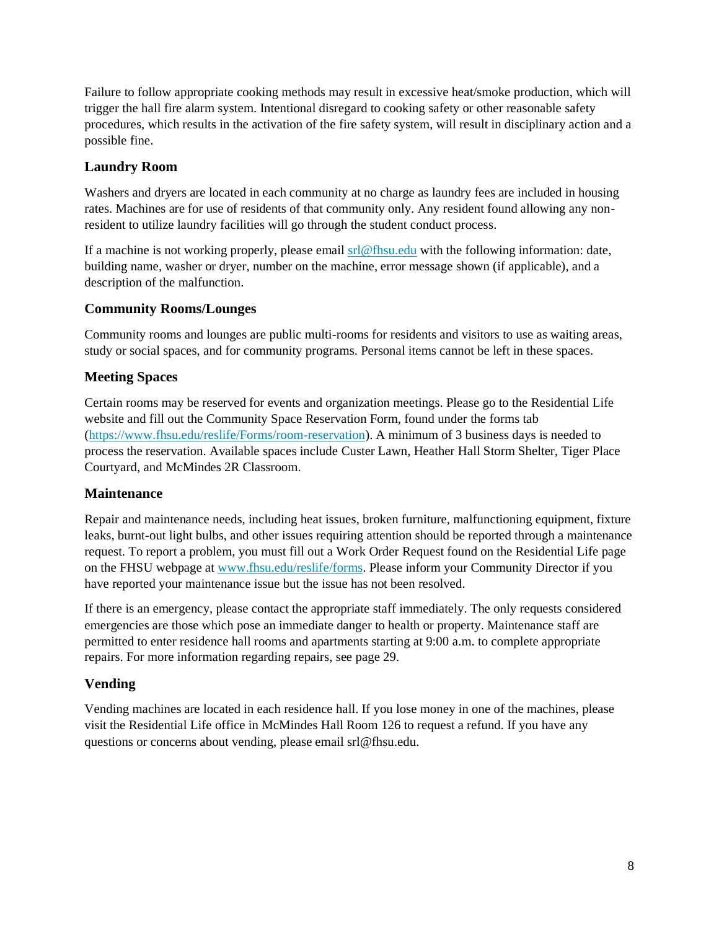Failure to follow appropriate cooking methods may result in excessive heat/smoke production, which will trigger the hall fire alarm system. Intentional disregard to cooking safety or other reasonable safety procedures, which results in the activation of the fire safety system, will result in disciplinary action and a possible fine.

#### **Laundry Room**

Washers and dryers are located in each community at no charge as laundry fees are included in housing rates. Machines are for use of residents of that community only. Any resident found allowing any nonresident to utilize laundry facilities will go through the student conduct process.

If a machine is not working properly, please email  $\frac{\text{srl@fhsu.edu}}{\text{mdl@fhsu.edu}}$  with the following information: date, building name, washer or dryer, number on the machine, error message shown (if applicable), and a description of the malfunction.

#### **Community Rooms/Lounges**

Community rooms and lounges are public multi-rooms for residents and visitors to use as waiting areas, study or social spaces, and for community programs. Personal items cannot be left in these spaces.

#### **Meeting Spaces**

Certain rooms may be reserved for events and organization meetings. Please go to the Residential Life website and fill out the Community Space Reservation Form, found under the forms tab [\(https://www.fhsu.edu/reslife/Forms/room-reservation\)](https://www.fhsu.edu/reslife/Forms/room-reservation). A minimum of 3 business days is needed to process the reservation. Available spaces include Custer Lawn, Heather Hall Storm Shelter, Tiger Place Courtyard, and McMindes 2R Classroom.

#### **Maintenance**

Repair and maintenance needs, including heat issues, broken furniture, malfunctioning equipment, fixture leaks, burnt-out light bulbs, and other issues requiring attention should be reported through a maintenance request. To report a problem, you must fill out a Work Order Request found on the Residential Life page on the FHSU webpage at [www.fhsu.edu/reslife/forms.](http://www.fhsu.edu/reslife/forms) Please inform your Community Director if you have reported your maintenance issue but the issue has not been resolved.

If there is an emergency, please contact the appropriate staff immediately. The only requests considered emergencies are those which pose an immediate danger to health or property. Maintenance staff are permitted to enter residence hall rooms and apartments starting at 9:00 a.m. to complete appropriate repairs. For more information regarding repairs, see page 29.

#### **Vending**

Vending machines are located in each residence hall. If you lose money in one of the machines, please visit the Residential Life office in McMindes Hall Room 126 to request a refund. If you have any questions or concerns about vending, please email srl@fhsu.edu.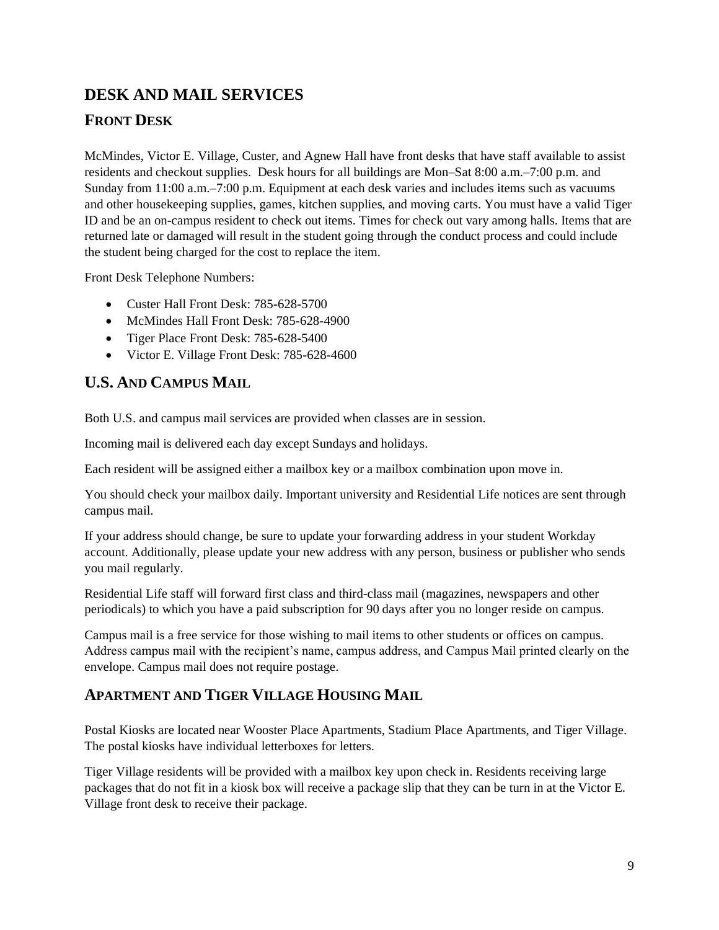#### <span id="page-9-0"></span>**DESK AND MAIL SERVICES**

#### <span id="page-9-1"></span>**FRONT DESK**

McMindes, Victor E. Village, Custer, and Agnew Hall have front desks that have staff available to assist residents and checkout supplies. Desk hours for all buildings are Mon–Sat 8:00 a.m.–7:00 p.m. and Sunday from 11:00 a.m.–7:00 p.m. Equipment at each desk varies and includes items such as vacuums and other housekeeping supplies, games, kitchen supplies, and moving carts. You must have a valid Tiger ID and be an on-campus resident to check out items. Times for check out vary among halls. Items that are returned late or damaged will result in the student going through the conduct process and could include the student being charged for the cost to replace the item.

Front Desk Telephone Numbers:

- Custer Hall Front Desk: 785-628-5700
- McMindes Hall Front Desk: 785-628-4900
- Tiger Place Front Desk: 785-628-5400
- Victor E. Village Front Desk: 785-628-4600

#### <span id="page-9-2"></span>**U.S. AND CAMPUS MAIL**

Both U.S. and campus mail services are provided when classes are in session.

Incoming mail is delivered each day except Sundays and holidays.

Each resident will be assigned either a mailbox key or a mailbox combination upon move in.

You should check your mailbox daily. Important university and Residential Life notices are sent through campus mail.

If your address should change, be sure to update your forwarding address in your student Workday account. Additionally, please update your new address with any person, business or publisher who sends you mail regularly.

Residential Life staff will forward first class and third-class mail (magazines, newspapers and other periodicals) to which you have a paid subscription for 90 days after you no longer reside on campus.

Campus mail is a free service for those wishing to mail items to other students or offices on campus. Address campus mail with the recipient's name, campus address, and Campus Mail printed clearly on the envelope. Campus mail does not require postage.

#### <span id="page-9-3"></span>**APARTMENT AND TIGER VILLAGE HOUSING MAIL**

Postal Kiosks are located near Wooster Place Apartments, Stadium Place Apartments, and Tiger Village. The postal kiosks have individual letterboxes for letters.

Tiger Village residents will be provided with a mailbox key upon check in. Residents receiving large packages that do not fit in a kiosk box will receive a package slip that they can be turn in at the Victor E. Village front desk to receive their package.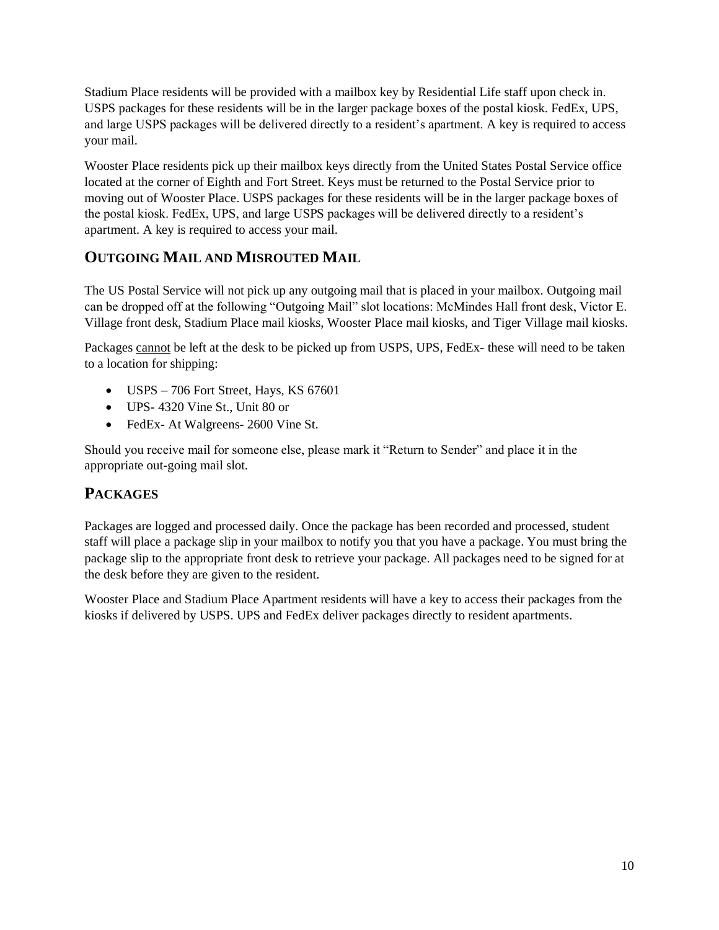Stadium Place residents will be provided with a mailbox key by Residential Life staff upon check in. USPS packages for these residents will be in the larger package boxes of the postal kiosk. FedEx, UPS, and large USPS packages will be delivered directly to a resident's apartment. A key is required to access your mail.

Wooster Place residents pick up their mailbox keys directly from the United States Postal Service office located at the corner of Eighth and Fort Street. Keys must be returned to the Postal Service prior to moving out of Wooster Place. USPS packages for these residents will be in the larger package boxes of the postal kiosk. FedEx, UPS, and large USPS packages will be delivered directly to a resident's apartment. A key is required to access your mail.

#### <span id="page-10-0"></span>**OUTGOING MAIL AND MISROUTED MAIL**

The US Postal Service will not pick up any outgoing mail that is placed in your mailbox. Outgoing mail can be dropped off at the following "Outgoing Mail" slot locations: McMindes Hall front desk, Victor E. Village front desk, Stadium Place mail kiosks, Wooster Place mail kiosks, and Tiger Village mail kiosks.

Packages cannot be left at the desk to be picked up from USPS, UPS, FedEx- these will need to be taken to a location for shipping:

- USPS 706 Fort Street, Hays, KS 67601
- UPS- 4320 Vine St., Unit 80 or
- FedEx- At Walgreens- 2600 Vine St.

Should you receive mail for someone else, please mark it "Return to Sender" and place it in the appropriate out-going mail slot.

#### <span id="page-10-1"></span>**PACKAGES**

Packages are logged and processed daily. Once the package has been recorded and processed, student staff will place a package slip in your mailbox to notify you that you have a package. You must bring the package slip to the appropriate front desk to retrieve your package. All packages need to be signed for at the desk before they are given to the resident.

Wooster Place and Stadium Place Apartment residents will have a key to access their packages from the kiosks if delivered by USPS. UPS and FedEx deliver packages directly to resident apartments.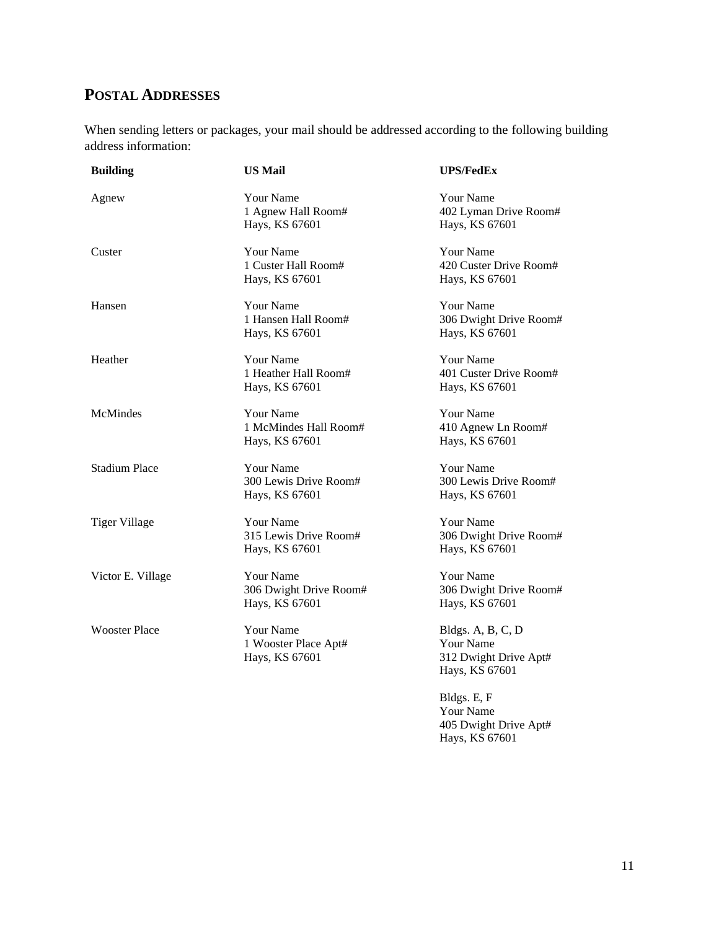#### <span id="page-11-0"></span>**POSTAL ADDRESSES**

When sending letters or packages, your mail should be addressed according to the following building address information:

| <b>Building</b>      | <b>US Mail</b>                                               | <b>UPS/FedEx</b>                                                                 |
|----------------------|--------------------------------------------------------------|----------------------------------------------------------------------------------|
| Agnew                | Your Name<br>1 Agnew Hall Room#<br>Hays, KS 67601            | Your Name<br>402 Lyman Drive Room#<br>Hays, KS 67601                             |
| Custer               | Your Name<br>1 Custer Hall Room#<br>Hays, KS 67601           | Your Name<br>420 Custer Drive Room#<br>Hays, KS 67601                            |
| Hansen               | Your Name<br>1 Hansen Hall Room#<br>Hays, KS 67601           | Your Name<br>306 Dwight Drive Room#<br>Hays, KS 67601                            |
| Heather              | Your Name<br>1 Heather Hall Room#<br>Hays, KS 67601          | Your Name<br>401 Custer Drive Room#<br>Hays, KS 67601                            |
| McMindes             | Your Name<br>1 McMindes Hall Room#<br>Hays, KS 67601         | Your Name<br>410 Agnew Ln Room#<br>Hays, KS 67601                                |
| <b>Stadium Place</b> | <b>Your Name</b><br>300 Lewis Drive Room#<br>Hays, KS 67601  | <b>Your Name</b><br>300 Lewis Drive Room#<br>Hays, KS 67601                      |
| <b>Tiger Village</b> | Your Name<br>315 Lewis Drive Room#<br>Hays, KS 67601         | Your Name<br>306 Dwight Drive Room#<br>Hays, KS 67601                            |
| Victor E. Village    | <b>Your Name</b><br>306 Dwight Drive Room#<br>Hays, KS 67601 | Your Name<br>306 Dwight Drive Room#<br>Hays, KS 67601                            |
| <b>Wooster Place</b> | Your Name<br>1 Wooster Place Apt#<br>Hays, KS 67601          | Bldgs. A, B, C, D<br><b>Your Name</b><br>312 Dwight Drive Apt#<br>Hays, KS 67601 |
|                      |                                                              | $D1A_{\infty}$ E E                                                               |

Bldgs. E, F Your Name 405 Dwight Drive Apt# Hays, KS 67601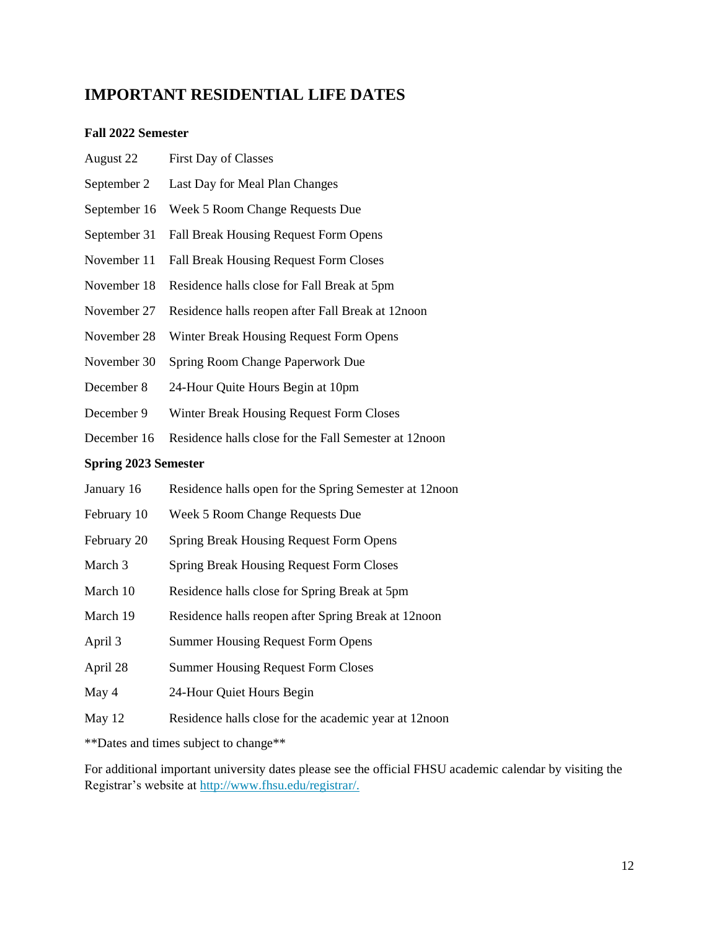#### <span id="page-12-0"></span>**IMPORTANT RESIDENTIAL LIFE DATES**

#### **Fall 2022 Semester**

| August 22                   | First Day of Classes                                    |  |  |
|-----------------------------|---------------------------------------------------------|--|--|
| September 2                 | Last Day for Meal Plan Changes                          |  |  |
| September 16                | Week 5 Room Change Requests Due                         |  |  |
| September 31                | Fall Break Housing Request Form Opens                   |  |  |
| November 11                 | Fall Break Housing Request Form Closes                  |  |  |
| November 18                 | Residence halls close for Fall Break at 5pm             |  |  |
| November 27                 | Residence halls reopen after Fall Break at 12noon       |  |  |
| November 28                 | Winter Break Housing Request Form Opens                 |  |  |
| November 30                 | Spring Room Change Paperwork Due                        |  |  |
| December 8                  | 24-Hour Quite Hours Begin at 10pm                       |  |  |
| December 9                  | Winter Break Housing Request Form Closes                |  |  |
| December 16                 | Residence halls close for the Fall Semester at 12noon   |  |  |
| <b>Spring 2023 Semester</b> |                                                         |  |  |
| January 16                  | Residence halls open for the Spring Semester at 12 noon |  |  |
| February 10                 | Week 5 Room Change Requests Due                         |  |  |
| February 20                 | Spring Break Housing Request Form Opens                 |  |  |
| March 3                     | <b>Spring Break Housing Request Form Closes</b>         |  |  |
| March 10                    | Residence halls close for Spring Break at 5pm           |  |  |
| March 19                    | Residence halls reopen after Spring Break at 12noon     |  |  |
| April 3                     | <b>Summer Housing Request Form Opens</b>                |  |  |
| April 28                    | <b>Summer Housing Request Form Closes</b>               |  |  |
| May 4                       | 24-Hour Quiet Hours Begin                               |  |  |
| May 12                      | Residence halls close for the academic year at 12noon   |  |  |
|                             |                                                         |  |  |

\*\*Dates and times subject to change\*\*

For additional important university dates please see the official FHSU academic calendar by visiting the Registrar's website at [http://www.fhsu.edu/registrar/.](http://www.fhsu.edu/registrar/)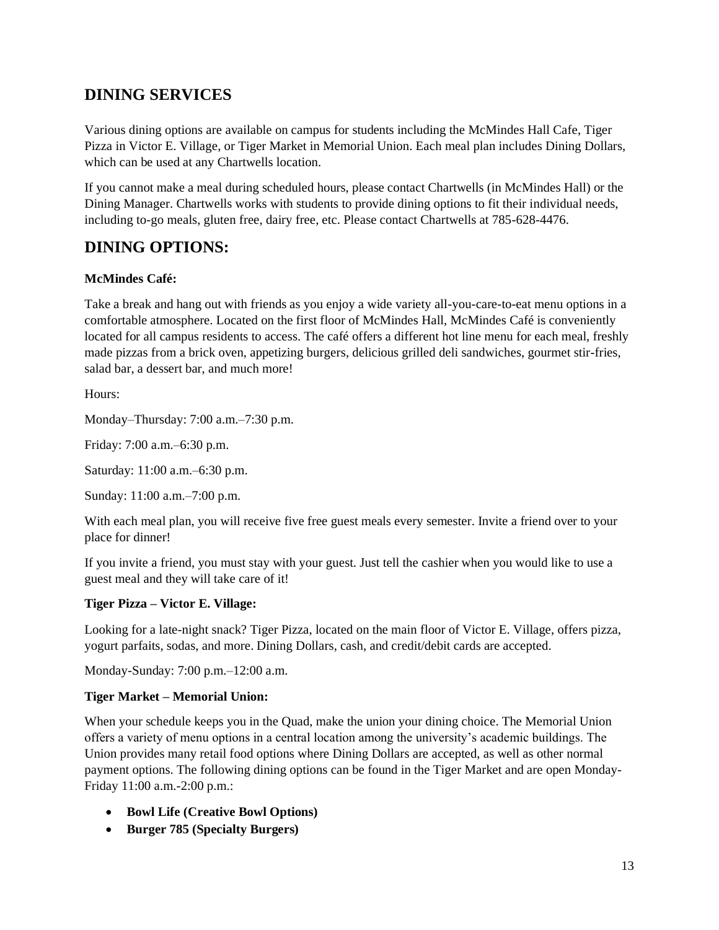#### <span id="page-13-0"></span>**DINING SERVICES**

Various dining options are available on campus for students including the McMindes Hall Cafe, Tiger Pizza in Victor E. Village, or Tiger Market in Memorial Union. Each meal plan includes Dining Dollars, which can be used at any Chartwells location.

If you cannot make a meal during scheduled hours, please contact Chartwells (in McMindes Hall) or the Dining Manager. Chartwells works with students to provide dining options to fit their individual needs, including to-go meals, gluten free, dairy free, etc. Please contact Chartwells at 785-628-4476.

#### <span id="page-13-1"></span>**DINING OPTIONS:**

#### **McMindes Café:**

Take a break and hang out with friends as you enjoy a wide variety all-you-care-to-eat menu options in a comfortable atmosphere. Located on the first floor of McMindes Hall, McMindes Café is conveniently located for all campus residents to access. The café offers a different hot line menu for each meal, freshly made pizzas from a brick oven, appetizing burgers, delicious grilled deli sandwiches, gourmet stir-fries, salad bar, a dessert bar, and much more!

Hours:

Monday–Thursday: 7:00 a.m.–7:30 p.m.

Friday: 7:00 a.m.–6:30 p.m.

Saturday: 11:00 a.m.–6:30 p.m.

Sunday: 11:00 a.m.–7:00 p.m.

With each meal plan, you will receive five free guest meals every semester. Invite a friend over to your place for dinner!

If you invite a friend, you must stay with your guest. Just tell the cashier when you would like to use a guest meal and they will take care of it!

#### **Tiger Pizza – Victor E. Village:**

Looking for a late-night snack? Tiger Pizza, located on the main floor of Victor E. Village, offers pizza, yogurt parfaits, sodas, and more. Dining Dollars, cash, and credit/debit cards are accepted.

Monday-Sunday: 7:00 p.m.–12:00 a.m.

#### **Tiger Market – Memorial Union:**

When your schedule keeps you in the Quad, make the union your dining choice. The Memorial Union offers a variety of menu options in a central location among the university's academic buildings. The Union provides many retail food options where Dining Dollars are accepted, as well as other normal payment options. The following dining options can be found in the Tiger Market and are open Monday-Friday 11:00 a.m.-2:00 p.m.:

- **Bowl Life (Creative Bowl Options)**
- **Burger 785 (Specialty Burgers)**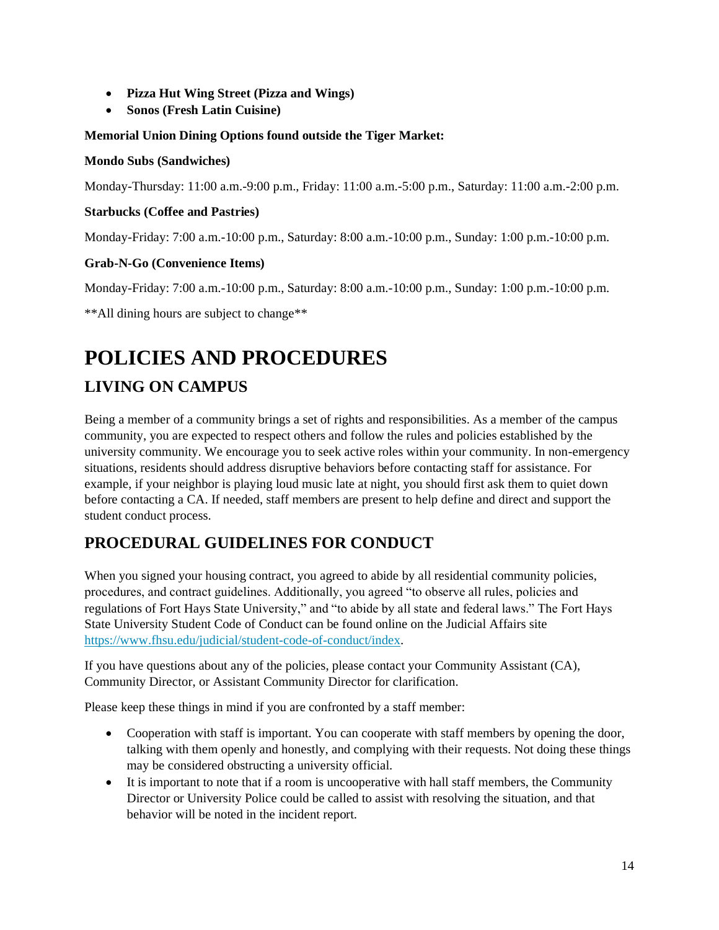- **Pizza Hut Wing Street (Pizza and Wings)**
- **Sonos (Fresh Latin Cuisine)**

#### **Memorial Union Dining Options found outside the Tiger Market:**

#### **Mondo Subs (Sandwiches)**

Monday-Thursday: 11:00 a.m.-9:00 p.m., Friday: 11:00 a.m.-5:00 p.m., Saturday: 11:00 a.m.-2:00 p.m.

#### **Starbucks (Coffee and Pastries)**

Monday-Friday: 7:00 a.m.-10:00 p.m., Saturday: 8:00 a.m.-10:00 p.m., Sunday: 1:00 p.m.-10:00 p.m.

#### **Grab-N-Go (Convenience Items)**

Monday-Friday: 7:00 a.m.-10:00 p.m., Saturday: 8:00 a.m.-10:00 p.m., Sunday: 1:00 p.m.-10:00 p.m.

\*\*All dining hours are subject to change\*\*

# <span id="page-14-0"></span>**POLICIES AND PROCEDURES**

#### <span id="page-14-1"></span>**LIVING ON CAMPUS**

Being a member of a community brings a set of rights and responsibilities. As a member of the campus community, you are expected to respect others and follow the rules and policies established by the university community. We encourage you to seek active roles within your community. In non-emergency situations, residents should address disruptive behaviors before contacting staff for assistance. For example, if your neighbor is playing loud music late at night, you should first ask them to quiet down before contacting a CA. If needed, staff members are present to help define and direct and support the student conduct process.

#### <span id="page-14-2"></span>**PROCEDURAL GUIDELINES FOR CONDUCT**

When you signed your housing contract, you agreed to abide by all residential community policies, procedures, and contract guidelines. Additionally, you agreed "to observe all rules, policies and regulations of Fort Hays State University," and "to abide by all state and federal laws." The Fort Hays State University Student Code of Conduct can be found online on the Judicial Affairs site [https://www.fhsu.edu/judicial/student-code-of-conduct/index.](https://www.fhsu.edu/judicial/student-code-of-conduct/index)

If you have questions about any of the policies, please contact your Community Assistant (CA), Community Director, or Assistant Community Director for clarification.

Please keep these things in mind if you are confronted by a staff member:

- Cooperation with staff is important. You can cooperate with staff members by opening the door, talking with them openly and honestly, and complying with their requests. Not doing these things may be considered obstructing a university official.
- It is important to note that if a room is uncooperative with hall staff members, the Community Director or University Police could be called to assist with resolving the situation, and that behavior will be noted in the incident report.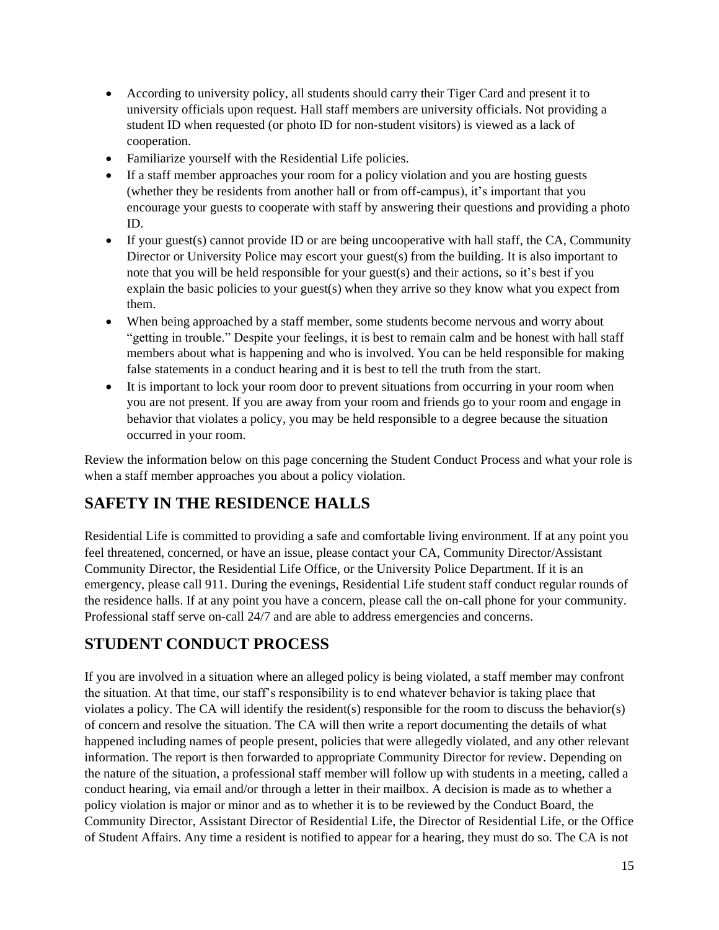- According to university policy, all students should carry their Tiger Card and present it to university officials upon request. Hall staff members are university officials. Not providing a student ID when requested (or photo ID for non-student visitors) is viewed as a lack of cooperation.
- Familiarize yourself with the Residential Life policies.
- If a staff member approaches your room for a policy violation and you are hosting guests (whether they be residents from another hall or from off-campus), it's important that you encourage your guests to cooperate with staff by answering their questions and providing a photo ID.
- $\bullet$  If your guest(s) cannot provide ID or are being uncooperative with hall staff, the CA, Community Director or University Police may escort your guest(s) from the building. It is also important to note that you will be held responsible for your guest(s) and their actions, so it's best if you explain the basic policies to your guest(s) when they arrive so they know what you expect from them.
- When being approached by a staff member, some students become nervous and worry about "getting in trouble." Despite your feelings, it is best to remain calm and be honest with hall staff members about what is happening and who is involved. You can be held responsible for making false statements in a conduct hearing and it is best to tell the truth from the start.
- It is important to lock your room door to prevent situations from occurring in your room when you are not present. If you are away from your room and friends go to your room and engage in behavior that violates a policy, you may be held responsible to a degree because the situation occurred in your room.

Review the information below on this page concerning the Student Conduct Process and what your role is when a staff member approaches you about a policy violation.

#### <span id="page-15-0"></span>**SAFETY IN THE RESIDENCE HALLS**

Residential Life is committed to providing a safe and comfortable living environment. If at any point you feel threatened, concerned, or have an issue, please contact your CA, Community Director/Assistant Community Director, the Residential Life Office, or the University Police Department. If it is an emergency, please call 911. During the evenings, Residential Life student staff conduct regular rounds of the residence halls. If at any point you have a concern, please call the on-call phone for your community. Professional staff serve on-call 24/7 and are able to address emergencies and concerns.

#### <span id="page-15-1"></span>**STUDENT CONDUCT PROCESS**

If you are involved in a situation where an alleged policy is being violated, a staff member may confront the situation. At that time, our staff's responsibility is to end whatever behavior is taking place that violates a policy. The CA will identify the resident(s) responsible for the room to discuss the behavior(s) of concern and resolve the situation. The CA will then write a report documenting the details of what happened including names of people present, policies that were allegedly violated, and any other relevant information. The report is then forwarded to appropriate Community Director for review. Depending on the nature of the situation, a professional staff member will follow up with students in a meeting, called a conduct hearing, via email and/or through a letter in their mailbox. A decision is made as to whether a policy violation is major or minor and as to whether it is to be reviewed by the Conduct Board, the Community Director, Assistant Director of Residential Life, the Director of Residential Life, or the Office of Student Affairs. Any time a resident is notified to appear for a hearing, they must do so. The CA is not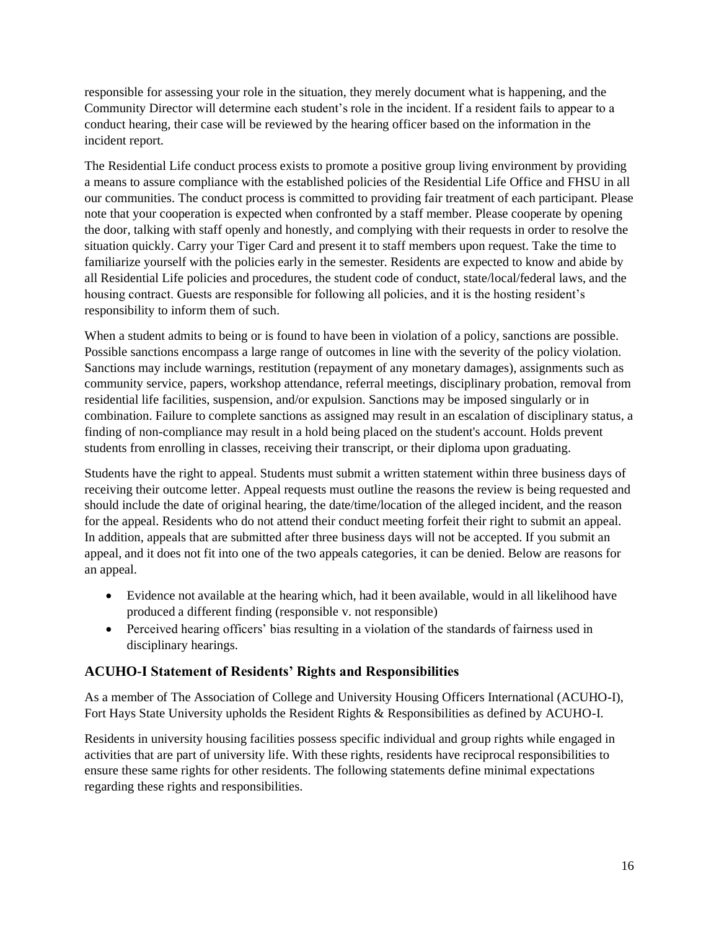responsible for assessing your role in the situation, they merely document what is happening, and the Community Director will determine each student's role in the incident. If a resident fails to appear to a conduct hearing, their case will be reviewed by the hearing officer based on the information in the incident report.

The Residential Life conduct process exists to promote a positive group living environment by providing a means to assure compliance with the established policies of the Residential Life Office and FHSU in all our communities. The conduct process is committed to providing fair treatment of each participant. Please note that your cooperation is expected when confronted by a staff member. Please cooperate by opening the door, talking with staff openly and honestly, and complying with their requests in order to resolve the situation quickly. Carry your Tiger Card and present it to staff members upon request. Take the time to familiarize yourself with the policies early in the semester. Residents are expected to know and abide by all Residential Life policies and procedures, the student code of conduct, state/local/federal laws, and the housing contract. Guests are responsible for following all policies, and it is the hosting resident's responsibility to inform them of such.

When a student admits to being or is found to have been in violation of a policy, sanctions are possible. Possible sanctions encompass a large range of outcomes in line with the severity of the policy violation. Sanctions may include warnings, restitution (repayment of any monetary damages), assignments such as community service, papers, workshop attendance, referral meetings, disciplinary probation, removal from residential life facilities, suspension, and/or expulsion. Sanctions may be imposed singularly or in combination. Failure to complete sanctions as assigned may result in an escalation of disciplinary status, a finding of non-compliance may result in a hold being placed on the student's account. Holds prevent students from enrolling in classes, receiving their transcript, or their diploma upon graduating.

Students have the right to appeal. Students must submit a written statement within three business days of receiving their outcome letter. Appeal requests must outline the reasons the review is being requested and should include the date of original hearing, the date/time/location of the alleged incident, and the reason for the appeal. Residents who do not attend their conduct meeting forfeit their right to submit an appeal. In addition, appeals that are submitted after three business days will not be accepted. If you submit an appeal, and it does not fit into one of the two appeals categories, it can be denied. Below are reasons for an appeal.

- Evidence not available at the hearing which, had it been available, would in all likelihood have produced a different finding (responsible v. not responsible)
- Perceived hearing officers' bias resulting in a violation of the standards of fairness used in disciplinary hearings.

#### **ACUHO-I Statement of Residents' Rights and Responsibilities**

As a member of The Association of College and University Housing Officers International (ACUHO-I), Fort Hays State University upholds the Resident Rights & Responsibilities as defined by ACUHO-I.

Residents in university housing facilities possess specific individual and group rights while engaged in activities that are part of university life. With these rights, residents have reciprocal responsibilities to ensure these same rights for other residents. The following statements define minimal expectations regarding these rights and responsibilities.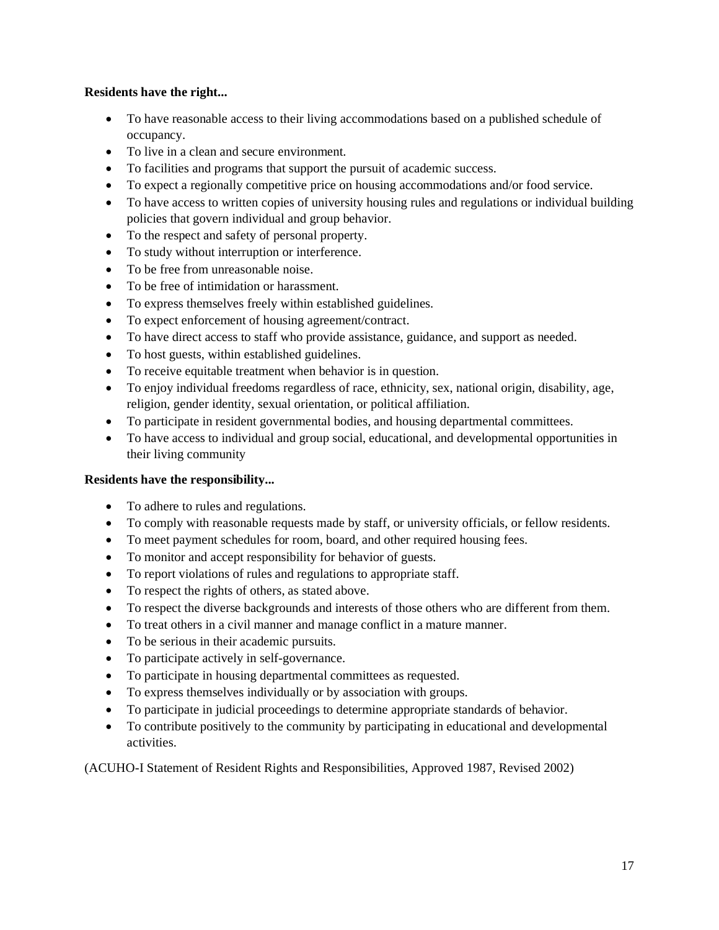#### **Residents have the right...**

- To have reasonable access to their living accommodations based on a published schedule of occupancy.
- To live in a clean and secure environment.
- To facilities and programs that support the pursuit of academic success.
- To expect a regionally competitive price on housing accommodations and/or food service.
- To have access to written copies of university housing rules and regulations or individual building policies that govern individual and group behavior.
- To the respect and safety of personal property.
- To study without interruption or interference.
- To be free from unreasonable noise.
- To be free of intimidation or harassment.
- To express themselves freely within established guidelines.
- To expect enforcement of housing agreement/contract.
- To have direct access to staff who provide assistance, guidance, and support as needed.
- To host guests, within established guidelines.
- To receive equitable treatment when behavior is in question.
- To enjoy individual freedoms regardless of race, ethnicity, sex, national origin, disability, age, religion, gender identity, sexual orientation, or political affiliation.
- To participate in resident governmental bodies, and housing departmental committees.
- To have access to individual and group social, educational, and developmental opportunities in their living community

#### **Residents have the responsibility...**

- To adhere to rules and regulations.
- To comply with reasonable requests made by staff, or university officials, or fellow residents.
- To meet payment schedules for room, board, and other required housing fees.
- To monitor and accept responsibility for behavior of guests.
- To report violations of rules and regulations to appropriate staff.
- To respect the rights of others, as stated above.
- To respect the diverse backgrounds and interests of those others who are different from them.
- To treat others in a civil manner and manage conflict in a mature manner.
- To be serious in their academic pursuits.
- To participate actively in self-governance.
- To participate in housing departmental committees as requested.
- To express themselves individually or by association with groups.
- To participate in judicial proceedings to determine appropriate standards of behavior.
- To contribute positively to the community by participating in educational and developmental activities.

(ACUHO-I Statement of Resident Rights and Responsibilities, Approved 1987, Revised 2002)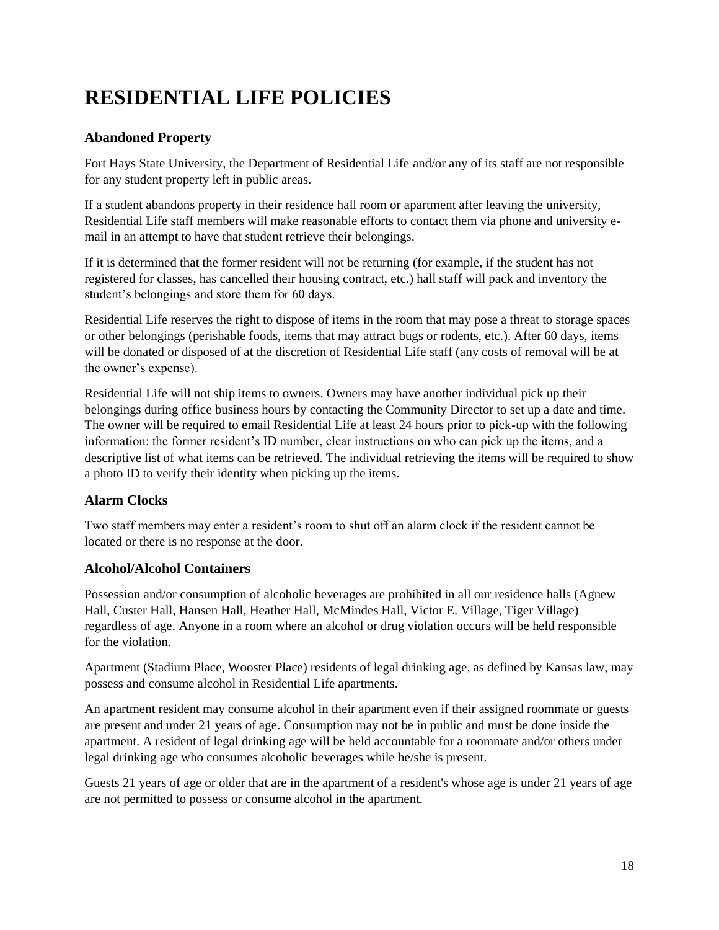# <span id="page-18-0"></span>**RESIDENTIAL LIFE POLICIES**

#### **Abandoned Property**

Fort Hays State University, the Department of Residential Life and/or any of its staff are not responsible for any student property left in public areas.

If a student abandons property in their residence hall room or apartment after leaving the university, Residential Life staff members will make reasonable efforts to contact them via phone and university email in an attempt to have that student retrieve their belongings.

If it is determined that the former resident will not be returning (for example, if the student has not registered for classes, has cancelled their housing contract, etc.) hall staff will pack and inventory the student's belongings and store them for 60 days.

Residential Life reserves the right to dispose of items in the room that may pose a threat to storage spaces or other belongings (perishable foods, items that may attract bugs or rodents, etc.). After 60 days, items will be donated or disposed of at the discretion of Residential Life staff (any costs of removal will be at the owner's expense).

Residential Life will not ship items to owners. Owners may have another individual pick up their belongings during office business hours by contacting the Community Director to set up a date and time. The owner will be required to email Residential Life at least 24 hours prior to pick-up with the following information: the former resident's ID number, clear instructions on who can pick up the items, and a descriptive list of what items can be retrieved. The individual retrieving the items will be required to show a photo ID to verify their identity when picking up the items.

#### **Alarm Clocks**

Two staff members may enter a resident's room to shut off an alarm clock if the resident cannot be located or there is no response at the door.

#### **Alcohol/Alcohol Containers**

Possession and/or consumption of alcoholic beverages are prohibited in all our residence halls (Agnew Hall, Custer Hall, Hansen Hall, Heather Hall, McMindes Hall, Victor E. Village, Tiger Village) regardless of age. Anyone in a room where an alcohol or drug violation occurs will be held responsible for the violation.

Apartment (Stadium Place, Wooster Place) residents of legal drinking age, as defined by Kansas law, may possess and consume alcohol in Residential Life apartments.

An apartment resident may consume alcohol in their apartment even if their assigned roommate or guests are present and under 21 years of age. Consumption may not be in public and must be done inside the apartment. A resident of legal drinking age will be held accountable for a roommate and/or others under legal drinking age who consumes alcoholic beverages while he/she is present.

Guests 21 years of age or older that are in the apartment of a resident's whose age is under 21 years of age are not permitted to possess or consume alcohol in the apartment.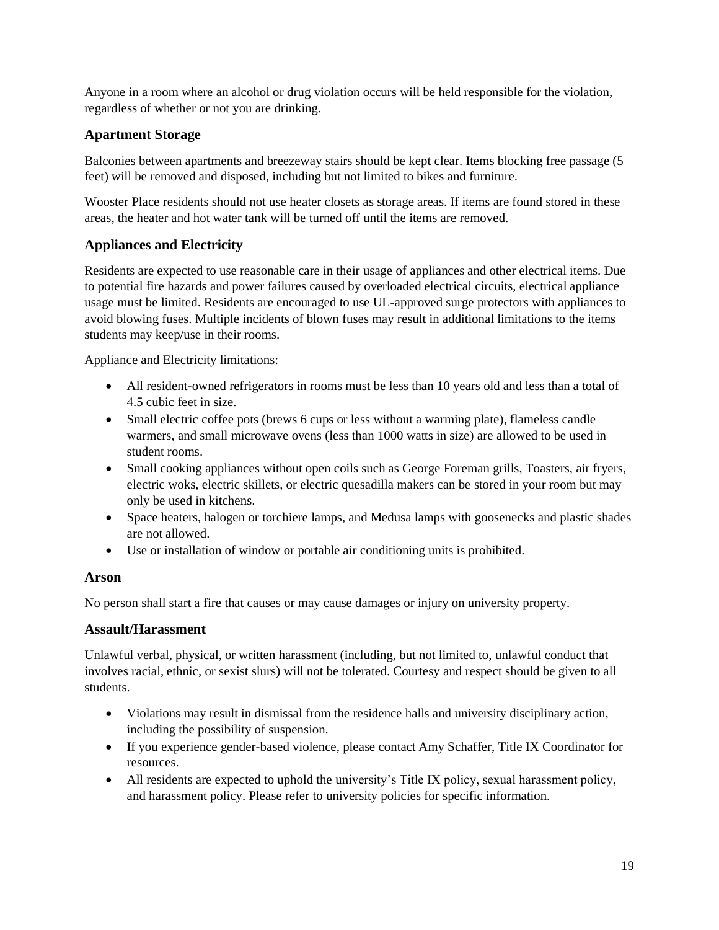Anyone in a room where an alcohol or drug violation occurs will be held responsible for the violation, regardless of whether or not you are drinking.

#### **Apartment Storage**

Balconies between apartments and breezeway stairs should be kept clear. Items blocking free passage (5 feet) will be removed and disposed, including but not limited to bikes and furniture.

Wooster Place residents should not use heater closets as storage areas. If items are found stored in these areas, the heater and hot water tank will be turned off until the items are removed.

#### **Appliances and Electricity**

Residents are expected to use reasonable care in their usage of appliances and other electrical items. Due to potential fire hazards and power failures caused by overloaded electrical circuits, electrical appliance usage must be limited. Residents are encouraged to use UL-approved surge protectors with appliances to avoid blowing fuses. Multiple incidents of blown fuses may result in additional limitations to the items students may keep/use in their rooms.

Appliance and Electricity limitations:

- All resident-owned refrigerators in rooms must be less than 10 years old and less than a total of 4.5 cubic feet in size.
- Small electric coffee pots (brews 6 cups or less without a warming plate), flameless candle warmers, and small microwave ovens (less than 1000 watts in size) are allowed to be used in student rooms.
- Small cooking appliances without open coils such as George Foreman grills, Toasters, air fryers, electric woks, electric skillets, or electric quesadilla makers can be stored in your room but may only be used in kitchens.
- Space heaters, halogen or torchiere lamps, and Medusa lamps with goosenecks and plastic shades are not allowed.
- Use or installation of window or portable air conditioning units is prohibited.

#### **Arson**

No person shall start a fire that causes or may cause damages or injury on university property.

#### **Assault/Harassment**

Unlawful verbal, physical, or written harassment (including, but not limited to, unlawful conduct that involves racial, ethnic, or sexist slurs) will not be tolerated. Courtesy and respect should be given to all students.

- Violations may result in dismissal from the residence halls and university disciplinary action, including the possibility of suspension.
- If you experience gender-based violence, please contact Amy Schaffer, Title IX Coordinator for resources.
- All residents are expected to uphold the university's Title IX policy, sexual harassment policy, and harassment policy. Please refer to university policies for specific information.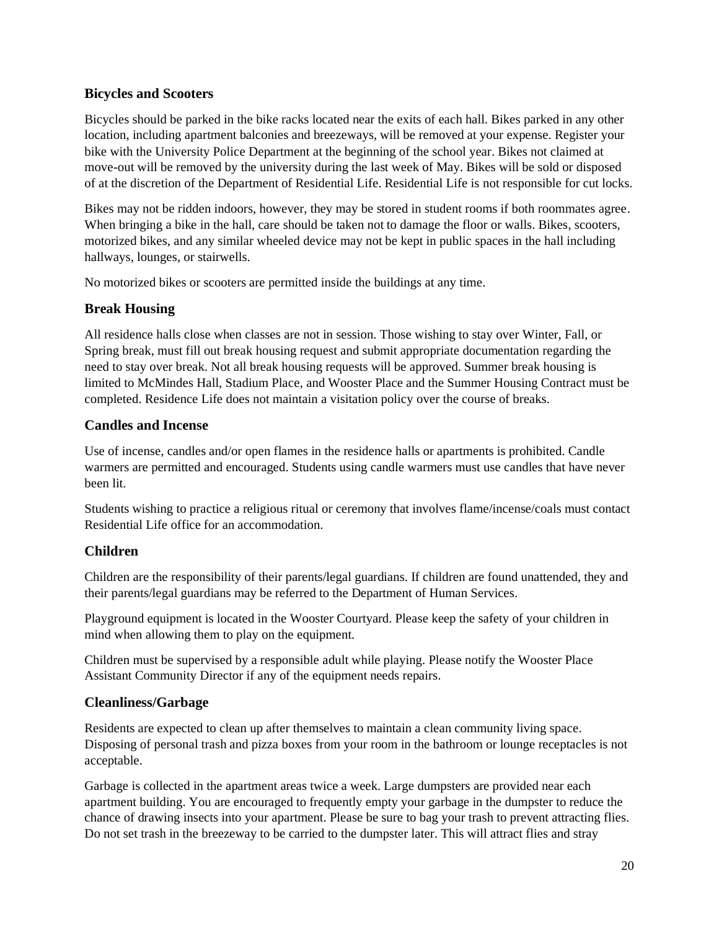#### **Bicycles and Scooters**

Bicycles should be parked in the bike racks located near the exits of each hall. Bikes parked in any other location, including apartment balconies and breezeways, will be removed at your expense. Register your bike with the University Police Department at the beginning of the school year. Bikes not claimed at move-out will be removed by the university during the last week of May. Bikes will be sold or disposed of at the discretion of the Department of Residential Life. Residential Life is not responsible for cut locks.

Bikes may not be ridden indoors, however, they may be stored in student rooms if both roommates agree. When bringing a bike in the hall, care should be taken not to damage the floor or walls. Bikes, scooters, motorized bikes, and any similar wheeled device may not be kept in public spaces in the hall including hallways, lounges, or stairwells.

No motorized bikes or scooters are permitted inside the buildings at any time.

#### **Break Housing**

All residence halls close when classes are not in session. Those wishing to stay over Winter, Fall, or Spring break, must fill out break housing request and submit appropriate documentation regarding the need to stay over break. Not all break housing requests will be approved. Summer break housing is limited to McMindes Hall, Stadium Place, and Wooster Place and the Summer Housing Contract must be completed. Residence Life does not maintain a visitation policy over the course of breaks.

#### **Candles and Incense**

Use of incense, candles and/or open flames in the residence halls or apartments is prohibited. Candle warmers are permitted and encouraged. Students using candle warmers must use candles that have never been lit.

Students wishing to practice a religious ritual or ceremony that involves flame/incense/coals must contact Residential Life office for an accommodation.

#### **Children**

Children are the responsibility of their parents/legal guardians. If children are found unattended, they and their parents/legal guardians may be referred to the Department of Human Services.

Playground equipment is located in the Wooster Courtyard. Please keep the safety of your children in mind when allowing them to play on the equipment.

Children must be supervised by a responsible adult while playing. Please notify the Wooster Place Assistant Community Director if any of the equipment needs repairs.

#### **Cleanliness/Garbage**

Residents are expected to clean up after themselves to maintain a clean community living space. Disposing of personal trash and pizza boxes from your room in the bathroom or lounge receptacles is not acceptable.

Garbage is collected in the apartment areas twice a week. Large dumpsters are provided near each apartment building. You are encouraged to frequently empty your garbage in the dumpster to reduce the chance of drawing insects into your apartment. Please be sure to bag your trash to prevent attracting flies. Do not set trash in the breezeway to be carried to the dumpster later. This will attract flies and stray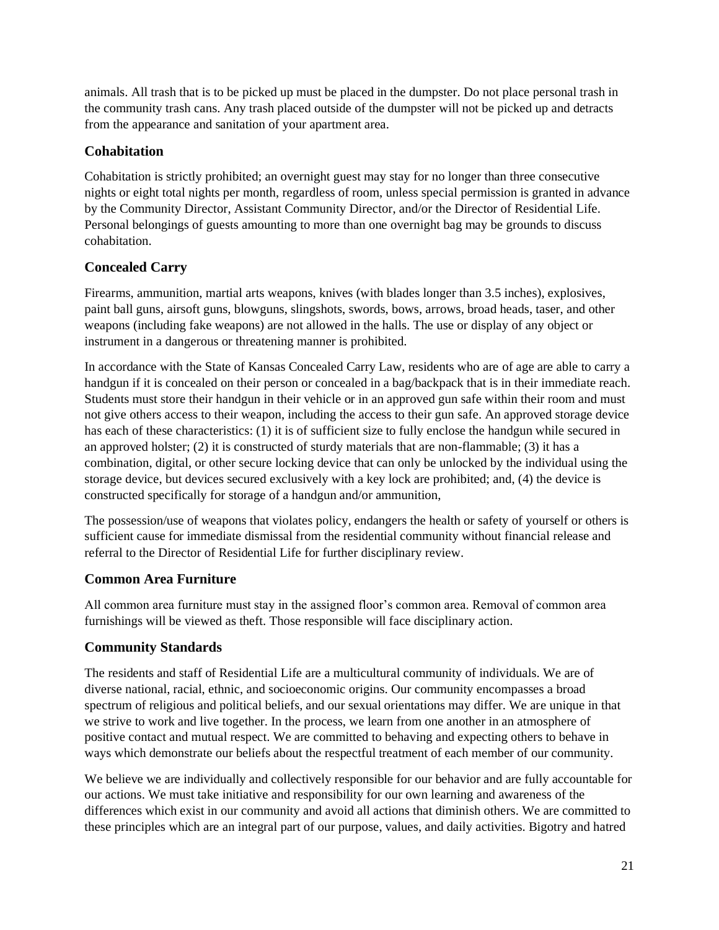animals. All trash that is to be picked up must be placed in the dumpster. Do not place personal trash in the community trash cans. Any trash placed outside of the dumpster will not be picked up and detracts from the appearance and sanitation of your apartment area.

#### **Cohabitation**

Cohabitation is strictly prohibited; an overnight guest may stay for no longer than three consecutive nights or eight total nights per month, regardless of room, unless special permission is granted in advance by the Community Director, Assistant Community Director, and/or the Director of Residential Life. Personal belongings of guests amounting to more than one overnight bag may be grounds to discuss cohabitation.

#### **Concealed Carry**

Firearms, ammunition, martial arts weapons, knives (with blades longer than 3.5 inches), explosives, paint ball guns, airsoft guns, blowguns, slingshots, swords, bows, arrows, broad heads, taser, and other weapons (including fake weapons) are not allowed in the halls. The use or display of any object or instrument in a dangerous or threatening manner is prohibited.

In accordance with the State of Kansas Concealed Carry Law, residents who are of age are able to carry a handgun if it is concealed on their person or concealed in a bag/backpack that is in their immediate reach. Students must store their handgun in their vehicle or in an approved gun safe within their room and must not give others access to their weapon, including the access to their gun safe. An approved storage device has each of these characteristics: (1) it is of sufficient size to fully enclose the handgun while secured in an approved holster; (2) it is constructed of sturdy materials that are non-flammable; (3) it has a combination, digital, or other secure locking device that can only be unlocked by the individual using the storage device, but devices secured exclusively with a key lock are prohibited; and, (4) the device is constructed specifically for storage of a handgun and/or ammunition,

The possession/use of weapons that violates policy, endangers the health or safety of yourself or others is sufficient cause for immediate dismissal from the residential community without financial release and referral to the Director of Residential Life for further disciplinary review.

#### **Common Area Furniture**

All common area furniture must stay in the assigned floor's common area. Removal of common area furnishings will be viewed as theft. Those responsible will face disciplinary action.

#### **Community Standards**

The residents and staff of Residential Life are a multicultural community of individuals. We are of diverse national, racial, ethnic, and socioeconomic origins. Our community encompasses a broad spectrum of religious and political beliefs, and our sexual orientations may differ. We are unique in that we strive to work and live together. In the process, we learn from one another in an atmosphere of positive contact and mutual respect. We are committed to behaving and expecting others to behave in ways which demonstrate our beliefs about the respectful treatment of each member of our community.

We believe we are individually and collectively responsible for our behavior and are fully accountable for our actions. We must take initiative and responsibility for our own learning and awareness of the differences which exist in our community and avoid all actions that diminish others. We are committed to these principles which are an integral part of our purpose, values, and daily activities. Bigotry and hatred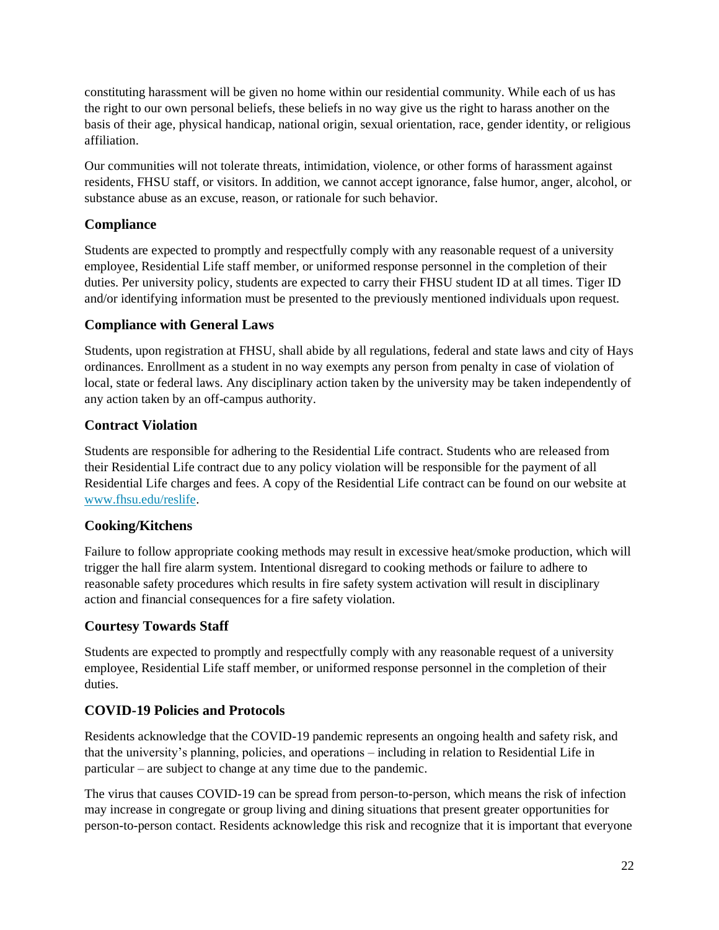constituting harassment will be given no home within our residential community. While each of us has the right to our own personal beliefs, these beliefs in no way give us the right to harass another on the basis of their age, physical handicap, national origin, sexual orientation, race, gender identity, or religious affiliation.

Our communities will not tolerate threats, intimidation, violence, or other forms of harassment against residents, FHSU staff, or visitors. In addition, we cannot accept ignorance, false humor, anger, alcohol, or substance abuse as an excuse, reason, or rationale for such behavior.

#### **Compliance**

Students are expected to promptly and respectfully comply with any reasonable request of a university employee, Residential Life staff member, or uniformed response personnel in the completion of their duties. Per university policy, students are expected to carry their FHSU student ID at all times. Tiger ID and/or identifying information must be presented to the previously mentioned individuals upon request.

#### **Compliance with General Laws**

Students, upon registration at FHSU, shall abide by all regulations, federal and state laws and city of Hays ordinances. Enrollment as a student in no way exempts any person from penalty in case of violation of local, state or federal laws. Any disciplinary action taken by the university may be taken independently of any action taken by an off-campus authority.

#### **Contract Violation**

Students are responsible for adhering to the Residential Life contract. Students who are released from their Residential Life contract due to any policy violation will be responsible for the payment of all Residential Life charges and fees. A copy of the Residential Life contract can be found on our website at [www.fhsu.edu/reslife.](http://www.fhsu.edu/reslife)

#### **Cooking/Kitchens**

Failure to follow appropriate cooking methods may result in excessive heat/smoke production, which will trigger the hall fire alarm system. Intentional disregard to cooking methods or failure to adhere to reasonable safety procedures which results in fire safety system activation will result in disciplinary action and financial consequences for a fire safety violation.

#### **Courtesy Towards Staff**

Students are expected to promptly and respectfully comply with any reasonable request of a university employee, Residential Life staff member, or uniformed response personnel in the completion of their duties.

#### **COVID-19 Policies and Protocols**

Residents acknowledge that the COVID-19 pandemic represents an ongoing health and safety risk, and that the university's planning, policies, and operations – including in relation to Residential Life in particular – are subject to change at any time due to the pandemic.

The virus that causes COVID-19 can be spread from person-to-person, which means the risk of infection may increase in congregate or group living and dining situations that present greater opportunities for person-to-person contact. Residents acknowledge this risk and recognize that it is important that everyone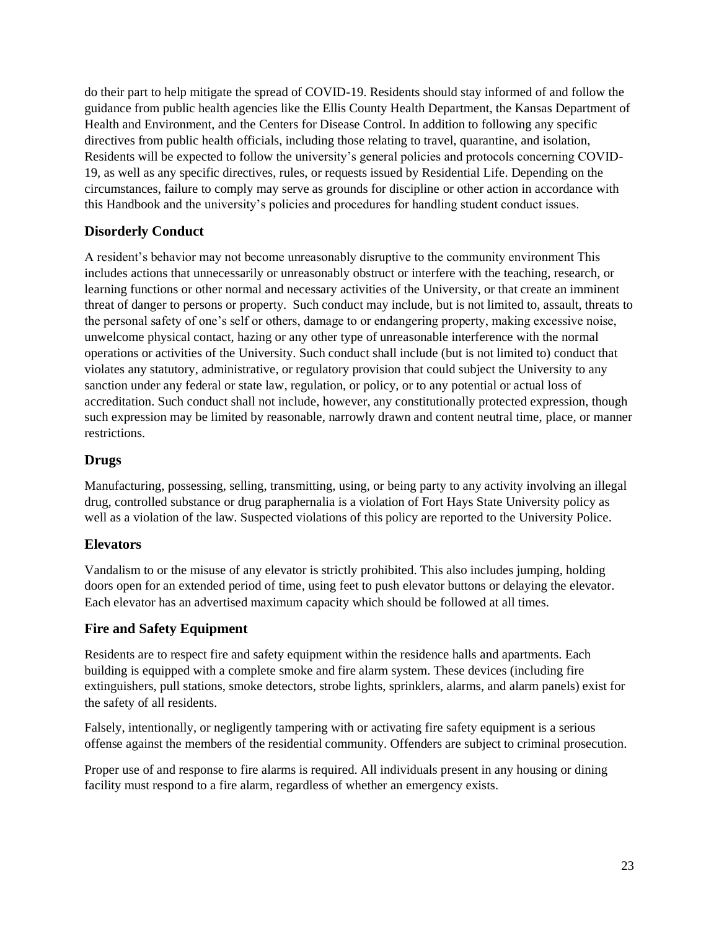do their part to help mitigate the spread of COVID-19. Residents should stay informed of and follow the guidance from public health agencies like the Ellis County Health Department, the Kansas Department of Health and Environment, and the Centers for Disease Control. In addition to following any specific directives from public health officials, including those relating to travel, quarantine, and isolation, Residents will be expected to follow the university's general policies and protocols concerning COVID-19, as well as any specific directives, rules, or requests issued by Residential Life. Depending on the circumstances, failure to comply may serve as grounds for discipline or other action in accordance with this Handbook and the university's policies and procedures for handling student conduct issues.

#### **Disorderly Conduct**

A resident's behavior may not become unreasonably disruptive to the community environment This includes actions that unnecessarily or unreasonably obstruct or interfere with the teaching, research, or learning functions or other normal and necessary activities of the University, or that create an imminent threat of danger to persons or property. Such conduct may include, but is not limited to, assault, threats to the personal safety of one's self or others, damage to or endangering property, making excessive noise, unwelcome physical contact, hazing or any other type of unreasonable interference with the normal operations or activities of the University. Such conduct shall include (but is not limited to) conduct that violates any statutory, administrative, or regulatory provision that could subject the University to any sanction under any federal or state law, regulation, or policy, or to any potential or actual loss of accreditation. Such conduct shall not include, however, any constitutionally protected expression, though such expression may be limited by reasonable, narrowly drawn and content neutral time, place, or manner restrictions.

#### **Drugs**

Manufacturing, possessing, selling, transmitting, using, or being party to any activity involving an illegal drug, controlled substance or drug paraphernalia is a violation of Fort Hays State University policy as well as a violation of the law. Suspected violations of this policy are reported to the University Police.

#### **Elevators**

Vandalism to or the misuse of any elevator is strictly prohibited. This also includes jumping, holding doors open for an extended period of time, using feet to push elevator buttons or delaying the elevator. Each elevator has an advertised maximum capacity which should be followed at all times.

#### **Fire and Safety Equipment**

Residents are to respect fire and safety equipment within the residence halls and apartments. Each building is equipped with a complete smoke and fire alarm system. These devices (including fire extinguishers, pull stations, smoke detectors, strobe lights, sprinklers, alarms, and alarm panels) exist for the safety of all residents.

Falsely, intentionally, or negligently tampering with or activating fire safety equipment is a serious offense against the members of the residential community. Offenders are subject to criminal prosecution.

Proper use of and response to fire alarms is required. All individuals present in any housing or dining facility must respond to a fire alarm, regardless of whether an emergency exists.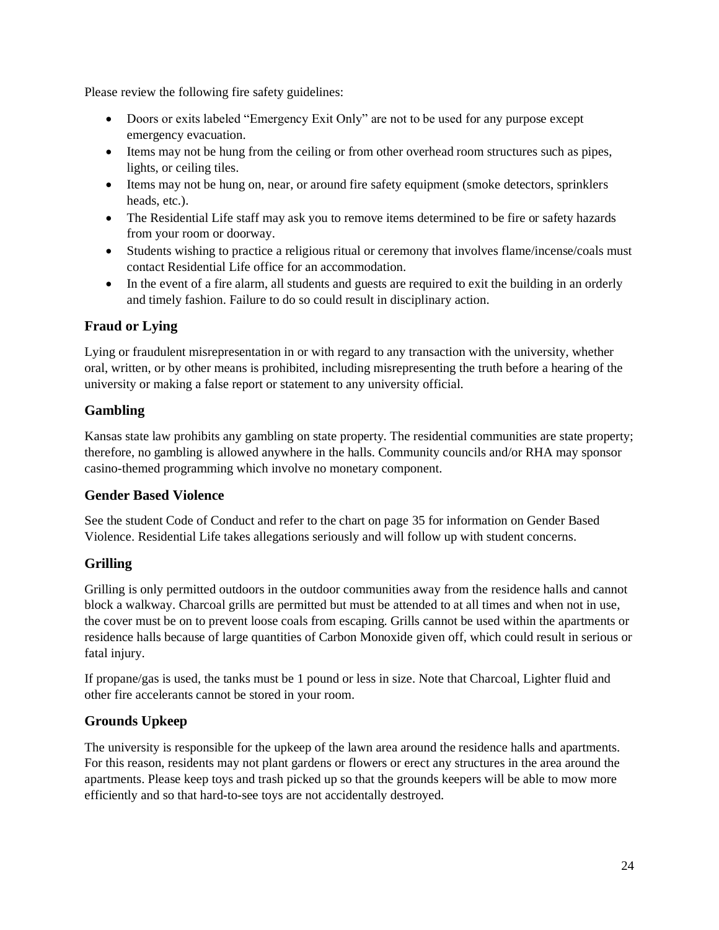Please review the following fire safety guidelines:

- Doors or exits labeled "Emergency Exit Only" are not to be used for any purpose except emergency evacuation.
- Items may not be hung from the ceiling or from other overhead room structures such as pipes, lights, or ceiling tiles.
- Items may not be hung on, near, or around fire safety equipment (smoke detectors, sprinklers heads, etc.).
- The Residential Life staff may ask you to remove items determined to be fire or safety hazards from your room or doorway.
- Students wishing to practice a religious ritual or ceremony that involves flame/incense/coals must contact Residential Life office for an accommodation.
- In the event of a fire alarm, all students and guests are required to exit the building in an orderly and timely fashion. Failure to do so could result in disciplinary action.

#### **Fraud or Lying**

Lying or fraudulent misrepresentation in or with regard to any transaction with the university, whether oral, written, or by other means is prohibited, including misrepresenting the truth before a hearing of the university or making a false report or statement to any university official.

#### **Gambling**

Kansas state law prohibits any gambling on state property. The residential communities are state property; therefore, no gambling is allowed anywhere in the halls. Community councils and/or RHA may sponsor casino-themed programming which involve no monetary component.

#### **Gender Based Violence**

See the student Code of Conduct and refer to the chart on page 35 for information on Gender Based Violence. Residential Life takes allegations seriously and will follow up with student concerns.

#### **Grilling**

Grilling is only permitted outdoors in the outdoor communities away from the residence halls and cannot block a walkway. Charcoal grills are permitted but must be attended to at all times and when not in use, the cover must be on to prevent loose coals from escaping. Grills cannot be used within the apartments or residence halls because of large quantities of Carbon Monoxide given off, which could result in serious or fatal injury.

If propane/gas is used, the tanks must be 1 pound or less in size. Note that Charcoal, Lighter fluid and other fire accelerants cannot be stored in your room.

#### **Grounds Upkeep**

The university is responsible for the upkeep of the lawn area around the residence halls and apartments. For this reason, residents may not plant gardens or flowers or erect any structures in the area around the apartments. Please keep toys and trash picked up so that the grounds keepers will be able to mow more efficiently and so that hard-to-see toys are not accidentally destroyed.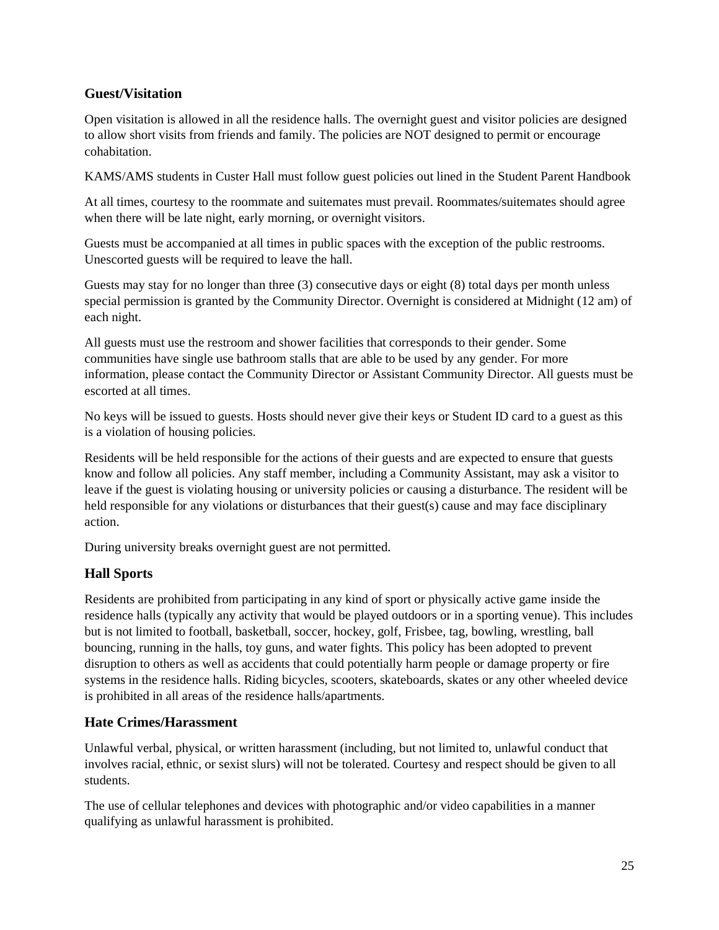#### **Guest/Visitation**

Open visitation is allowed in all the residence halls. The overnight guest and visitor policies are designed to allow short visits from friends and family. The policies are NOT designed to permit or encourage cohabitation.

KAMS/AMS students in Custer Hall must follow guest policies out lined in the Student Parent Handbook

At all times, courtesy to the roommate and suitemates must prevail. Roommates/suitemates should agree when there will be late night, early morning, or overnight visitors.

Guests must be accompanied at all times in public spaces with the exception of the public restrooms. Unescorted guests will be required to leave the hall.

Guests may stay for no longer than three (3) consecutive days or eight (8) total days per month unless special permission is granted by the Community Director. Overnight is considered at Midnight (12 am) of each night.

All guests must use the restroom and shower facilities that corresponds to their gender. Some communities have single use bathroom stalls that are able to be used by any gender. For more information, please contact the Community Director or Assistant Community Director. All guests must be escorted at all times.

No keys will be issued to guests. Hosts should never give their keys or Student ID card to a guest as this is a violation of housing policies.

Residents will be held responsible for the actions of their guests and are expected to ensure that guests know and follow all policies. Any staff member, including a Community Assistant, may ask a visitor to leave if the guest is violating housing or university policies or causing a disturbance. The resident will be held responsible for any violations or disturbances that their guest(s) cause and may face disciplinary action.

During university breaks overnight guest are not permitted.

#### **Hall Sports**

Residents are prohibited from participating in any kind of sport or physically active game inside the residence halls (typically any activity that would be played outdoors or in a sporting venue). This includes but is not limited to football, basketball, soccer, hockey, golf, Frisbee, tag, bowling, wrestling, ball bouncing, running in the halls, toy guns, and water fights. This policy has been adopted to prevent disruption to others as well as accidents that could potentially harm people or damage property or fire systems in the residence halls. Riding bicycles, scooters, skateboards, skates or any other wheeled device is prohibited in all areas of the residence halls/apartments.

#### **Hate Crimes/Harassment**

Unlawful verbal, physical, or written harassment (including, but not limited to, unlawful conduct that involves racial, ethnic, or sexist slurs) will not be tolerated. Courtesy and respect should be given to all students.

The use of cellular telephones and devices with photographic and/or video capabilities in a manner qualifying as unlawful harassment is prohibited.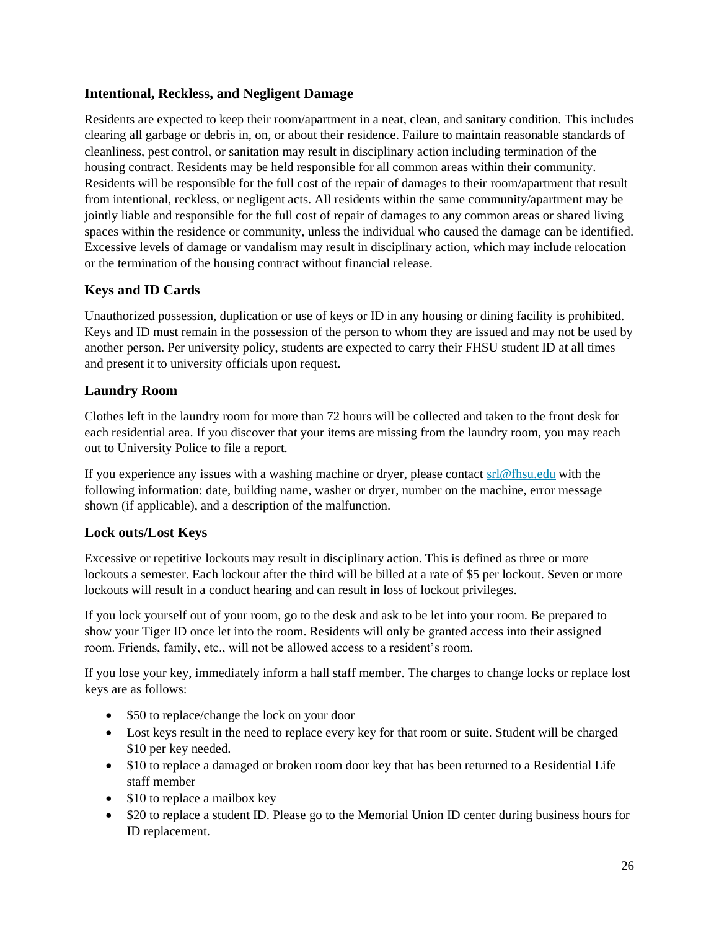#### **Intentional, Reckless, and Negligent Damage**

Residents are expected to keep their room/apartment in a neat, clean, and sanitary condition. This includes clearing all garbage or debris in, on, or about their residence. Failure to maintain reasonable standards of cleanliness, pest control, or sanitation may result in disciplinary action including termination of the housing contract. Residents may be held responsible for all common areas within their community. Residents will be responsible for the full cost of the repair of damages to their room/apartment that result from intentional, reckless, or negligent acts. All residents within the same community/apartment may be jointly liable and responsible for the full cost of repair of damages to any common areas or shared living spaces within the residence or community, unless the individual who caused the damage can be identified. Excessive levels of damage or vandalism may result in disciplinary action, which may include relocation or the termination of the housing contract without financial release.

#### **Keys and ID Cards**

Unauthorized possession, duplication or use of keys or ID in any housing or dining facility is prohibited. Keys and ID must remain in the possession of the person to whom they are issued and may not be used by another person. Per university policy, students are expected to carry their FHSU student ID at all times and present it to university officials upon request.

#### **Laundry Room**

Clothes left in the laundry room for more than 72 hours will be collected and taken to the front desk for each residential area. If you discover that your items are missing from the laundry room, you may reach out to University Police to file a report.

If you experience any issues with a washing machine or dryer, please contact [srl@fhsu.edu](mailto:srl@fhsu.edu) with the following information: date, building name, washer or dryer, number on the machine, error message shown (if applicable), and a description of the malfunction.

#### **Lock outs/Lost Keys**

Excessive or repetitive lockouts may result in disciplinary action. This is defined as three or more lockouts a semester. Each lockout after the third will be billed at a rate of \$5 per lockout. Seven or more lockouts will result in a conduct hearing and can result in loss of lockout privileges.

If you lock yourself out of your room, go to the desk and ask to be let into your room. Be prepared to show your Tiger ID once let into the room. Residents will only be granted access into their assigned room. Friends, family, etc., will not be allowed access to a resident's room.

If you lose your key, immediately inform a hall staff member. The charges to change locks or replace lost keys are as follows:

- \$50 to replace/change the lock on your door
- Lost keys result in the need to replace every key for that room or suite. Student will be charged \$10 per key needed.
- \$10 to replace a damaged or broken room door key that has been returned to a Residential Life staff member
- \$10 to replace a mailbox key
- \$20 to replace a student ID. Please go to the Memorial Union ID center during business hours for ID replacement.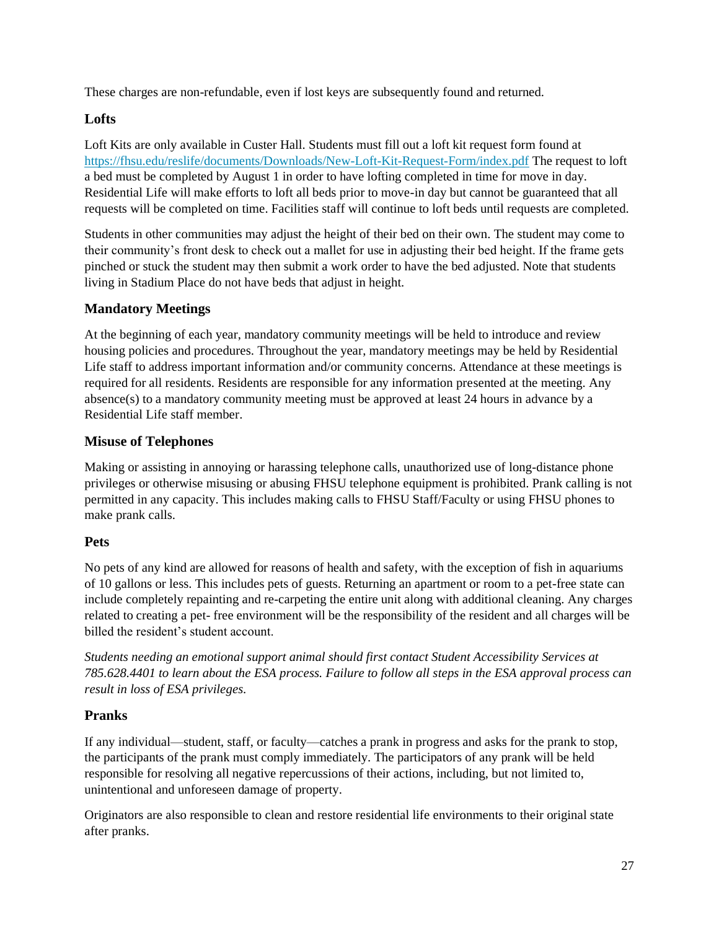These charges are non-refundable, even if lost keys are subsequently found and returned.

#### **Lofts**

Loft Kits are only available in Custer Hall. Students must fill out a loft kit request form found at <https://fhsu.edu/reslife/documents/Downloads/New-Loft-Kit-Request-Form/index.pdf> The request to loft a bed must be completed by August 1 in order to have lofting completed in time for move in day. Residential Life will make efforts to loft all beds prior to move-in day but cannot be guaranteed that all requests will be completed on time. Facilities staff will continue to loft beds until requests are completed.

Students in other communities may adjust the height of their bed on their own. The student may come to their community's front desk to check out a mallet for use in adjusting their bed height. If the frame gets pinched or stuck the student may then submit a work order to have the bed adjusted. Note that students living in Stadium Place do not have beds that adjust in height.

#### **Mandatory Meetings**

At the beginning of each year, mandatory community meetings will be held to introduce and review housing policies and procedures. Throughout the year, mandatory meetings may be held by Residential Life staff to address important information and/or community concerns. Attendance at these meetings is required for all residents. Residents are responsible for any information presented at the meeting. Any absence(s) to a mandatory community meeting must be approved at least 24 hours in advance by a Residential Life staff member.

#### **Misuse of Telephones**

Making or assisting in annoying or harassing telephone calls, unauthorized use of long-distance phone privileges or otherwise misusing or abusing FHSU telephone equipment is prohibited. Prank calling is not permitted in any capacity. This includes making calls to FHSU Staff/Faculty or using FHSU phones to make prank calls.

#### **Pets**

No pets of any kind are allowed for reasons of health and safety, with the exception of fish in aquariums of 10 gallons or less. This includes pets of guests. Returning an apartment or room to a pet-free state can include completely repainting and re-carpeting the entire unit along with additional cleaning. Any charges related to creating a pet- free environment will be the responsibility of the resident and all charges will be billed the resident's student account.

*Students needing an emotional support animal should first contact Student Accessibility Services at 785.628.4401 to learn about the ESA process. Failure to follow all steps in the ESA approval process can result in loss of ESA privileges.*

#### **Pranks**

If any individual—student, staff, or faculty—catches a prank in progress and asks for the prank to stop, the participants of the prank must comply immediately. The participators of any prank will be held responsible for resolving all negative repercussions of their actions, including, but not limited to, unintentional and unforeseen damage of property.

Originators are also responsible to clean and restore residential life environments to their original state after pranks.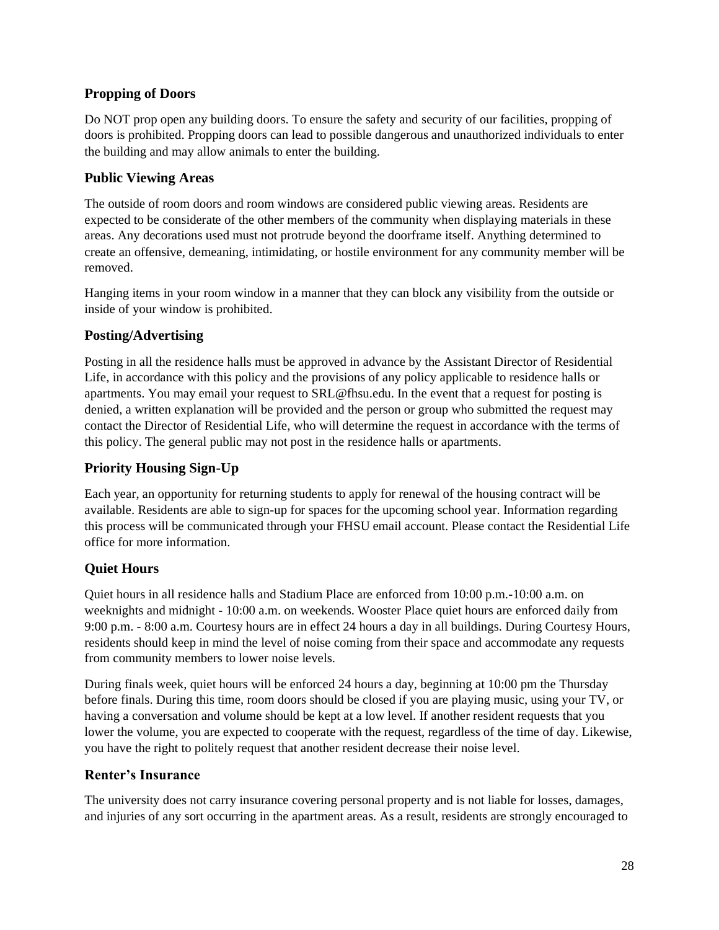#### **Propping of Doors**

Do NOT prop open any building doors. To ensure the safety and security of our facilities, propping of doors is prohibited. Propping doors can lead to possible dangerous and unauthorized individuals to enter the building and may allow animals to enter the building.

#### **Public Viewing Areas**

The outside of room doors and room windows are considered public viewing areas. Residents are expected to be considerate of the other members of the community when displaying materials in these areas. Any decorations used must not protrude beyond the doorframe itself. Anything determined to create an offensive, demeaning, intimidating, or hostile environment for any community member will be removed.

Hanging items in your room window in a manner that they can block any visibility from the outside or inside of your window is prohibited.

#### **Posting/Advertising**

Posting in all the residence halls must be approved in advance by the Assistant Director of Residential Life, in accordance with this policy and the provisions of any policy applicable to residence halls or apartments. You may email your request to SRL@fhsu.edu. In the event that a request for posting is denied, a written explanation will be provided and the person or group who submitted the request may contact the Director of Residential Life, who will determine the request in accordance with the terms of this policy. The general public may not post in the residence halls or apartments.

#### **Priority Housing Sign-Up**

Each year, an opportunity for returning students to apply for renewal of the housing contract will be available. Residents are able to sign-up for spaces for the upcoming school year. Information regarding this process will be communicated through your FHSU email account. Please contact the Residential Life office for more information.

#### **Quiet Hours**

Quiet hours in all residence halls and Stadium Place are enforced from 10:00 p.m.-10:00 a.m. on weeknights and midnight - 10:00 a.m. on weekends. Wooster Place quiet hours are enforced daily from 9:00 p.m. - 8:00 a.m. Courtesy hours are in effect 24 hours a day in all buildings. During Courtesy Hours, residents should keep in mind the level of noise coming from their space and accommodate any requests from community members to lower noise levels.

During finals week, quiet hours will be enforced 24 hours a day, beginning at 10:00 pm the Thursday before finals. During this time, room doors should be closed if you are playing music, using your TV, or having a conversation and volume should be kept at a low level. If another resident requests that you lower the volume, you are expected to cooperate with the request, regardless of the time of day. Likewise, you have the right to politely request that another resident decrease their noise level.

#### **Renter's Insurance**

The university does not carry insurance covering personal property and is not liable for losses, damages, and injuries of any sort occurring in the apartment areas. As a result, residents are strongly encouraged to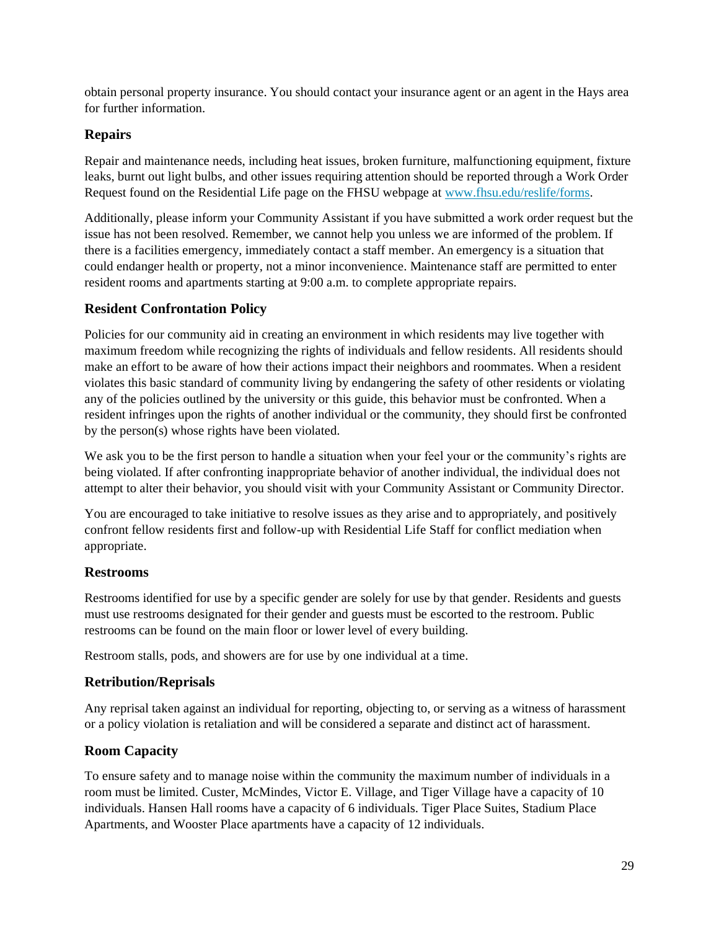obtain personal property insurance. You should contact your insurance agent or an agent in the Hays area for further information.

#### **Repairs**

Repair and maintenance needs, including heat issues, broken furniture, malfunctioning equipment, fixture leaks, burnt out light bulbs, and other issues requiring attention should be reported through a Work Order Request found on the Residential Life page on the FHSU webpage a[t www.fhsu.edu/reslife/forms.](http://www.fhsu.edu/reslife/forms)

Additionally, please inform your Community Assistant if you have submitted a work order request but the issue has not been resolved. Remember, we cannot help you unless we are informed of the problem. If there is a facilities emergency, immediately contact a staff member. An emergency is a situation that could endanger health or property, not a minor inconvenience. Maintenance staff are permitted to enter resident rooms and apartments starting at 9:00 a.m. to complete appropriate repairs.

#### **Resident Confrontation Policy**

Policies for our community aid in creating an environment in which residents may live together with maximum freedom while recognizing the rights of individuals and fellow residents. All residents should make an effort to be aware of how their actions impact their neighbors and roommates. When a resident violates this basic standard of community living by endangering the safety of other residents or violating any of the policies outlined by the university or this guide, this behavior must be confronted. When a resident infringes upon the rights of another individual or the community, they should first be confronted by the person(s) whose rights have been violated.

We ask you to be the first person to handle a situation when your feel your or the community's rights are being violated. If after confronting inappropriate behavior of another individual, the individual does not attempt to alter their behavior, you should visit with your Community Assistant or Community Director.

You are encouraged to take initiative to resolve issues as they arise and to appropriately, and positively confront fellow residents first and follow-up with Residential Life Staff for conflict mediation when appropriate.

#### **Restrooms**

Restrooms identified for use by a specific gender are solely for use by that gender. Residents and guests must use restrooms designated for their gender and guests must be escorted to the restroom. Public restrooms can be found on the main floor or lower level of every building.

Restroom stalls, pods, and showers are for use by one individual at a time.

#### **Retribution/Reprisals**

Any reprisal taken against an individual for reporting, objecting to, or serving as a witness of harassment or a policy violation is retaliation and will be considered a separate and distinct act of harassment.

#### **Room Capacity**

To ensure safety and to manage noise within the community the maximum number of individuals in a room must be limited. Custer, McMindes, Victor E. Village, and Tiger Village have a capacity of 10 individuals. Hansen Hall rooms have a capacity of 6 individuals. Tiger Place Suites, Stadium Place Apartments, and Wooster Place apartments have a capacity of 12 individuals.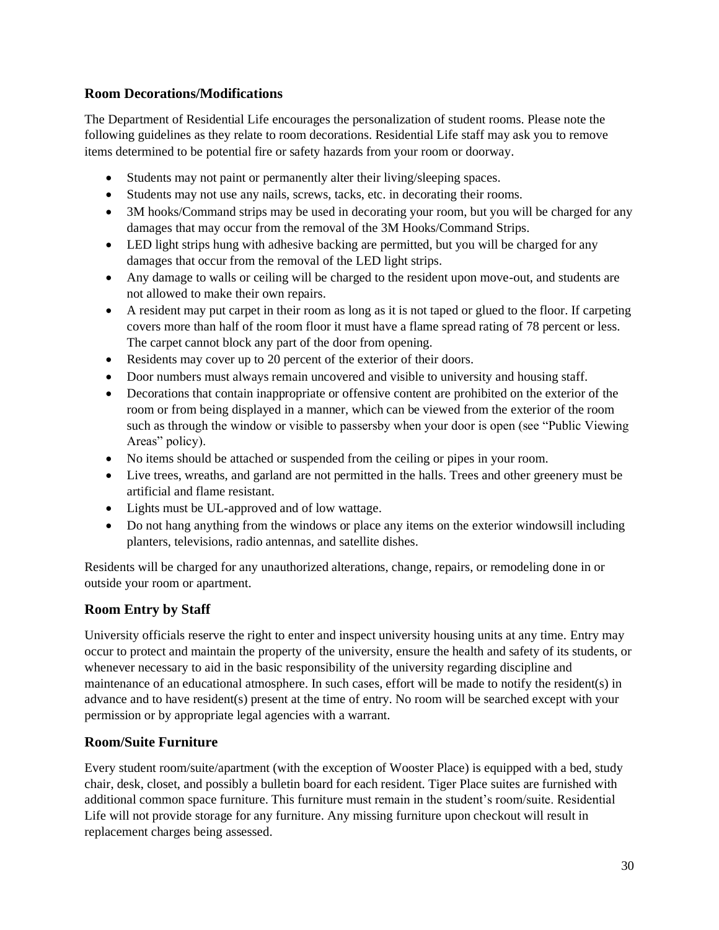#### **Room Decorations/Modifications**

The Department of Residential Life encourages the personalization of student rooms. Please note the following guidelines as they relate to room decorations. Residential Life staff may ask you to remove items determined to be potential fire or safety hazards from your room or doorway.

- Students may not paint or permanently alter their living/sleeping spaces.
- Students may not use any nails, screws, tacks, etc. in decorating their rooms.
- 3M hooks/Command strips may be used in decorating your room, but you will be charged for any damages that may occur from the removal of the 3M Hooks/Command Strips.
- LED light strips hung with adhesive backing are permitted, but you will be charged for any damages that occur from the removal of the LED light strips.
- Any damage to walls or ceiling will be charged to the resident upon move-out, and students are not allowed to make their own repairs.
- A resident may put carpet in their room as long as it is not taped or glued to the floor. If carpeting covers more than half of the room floor it must have a flame spread rating of 78 percent or less. The carpet cannot block any part of the door from opening.
- Residents may cover up to 20 percent of the exterior of their doors.
- Door numbers must always remain uncovered and visible to university and housing staff.
- Decorations that contain inappropriate or offensive content are prohibited on the exterior of the room or from being displayed in a manner, which can be viewed from the exterior of the room such as through the window or visible to passersby when your door is open (see "Public Viewing Areas" policy).
- No items should be attached or suspended from the ceiling or pipes in your room.
- Live trees, wreaths, and garland are not permitted in the halls. Trees and other greenery must be artificial and flame resistant.
- Lights must be UL-approved and of low wattage.
- Do not hang anything from the windows or place any items on the exterior windowsill including planters, televisions, radio antennas, and satellite dishes.

Residents will be charged for any unauthorized alterations, change, repairs, or remodeling done in or outside your room or apartment.

#### **Room Entry by Staff**

University officials reserve the right to enter and inspect university housing units at any time. Entry may occur to protect and maintain the property of the university, ensure the health and safety of its students, or whenever necessary to aid in the basic responsibility of the university regarding discipline and maintenance of an educational atmosphere. In such cases, effort will be made to notify the resident(s) in advance and to have resident(s) present at the time of entry. No room will be searched except with your permission or by appropriate legal agencies with a warrant.

#### **Room/Suite Furniture**

Every student room/suite/apartment (with the exception of Wooster Place) is equipped with a bed, study chair, desk, closet, and possibly a bulletin board for each resident. Tiger Place suites are furnished with additional common space furniture. This furniture must remain in the student's room/suite. Residential Life will not provide storage for any furniture. Any missing furniture upon checkout will result in replacement charges being assessed.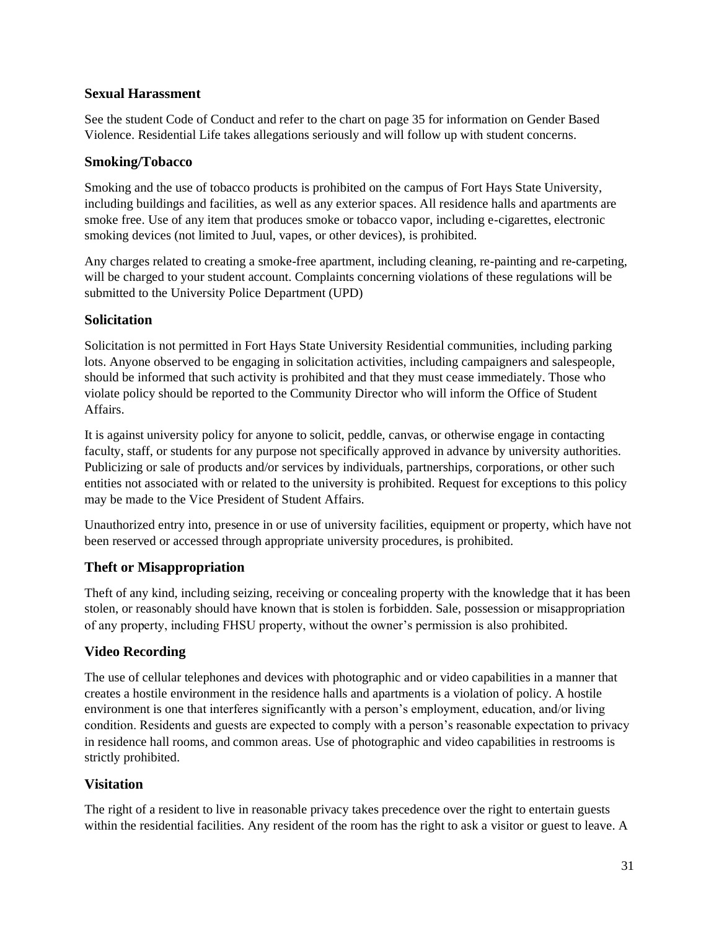#### **Sexual Harassment**

See the student Code of Conduct and refer to the chart on page 35 for information on Gender Based Violence. Residential Life takes allegations seriously and will follow up with student concerns.

#### **Smoking/Tobacco**

Smoking and the use of tobacco products is prohibited on the campus of Fort Hays State University, including buildings and facilities, as well as any exterior spaces. All residence halls and apartments are smoke free. Use of any item that produces smoke or tobacco vapor, including e-cigarettes, electronic smoking devices (not limited to Juul, vapes, or other devices), is prohibited.

Any charges related to creating a smoke-free apartment, including cleaning, re-painting and re-carpeting, will be charged to your student account. Complaints concerning violations of these regulations will be submitted to the University Police Department (UPD)

#### **Solicitation**

Solicitation is not permitted in Fort Hays State University Residential communities, including parking lots. Anyone observed to be engaging in solicitation activities, including campaigners and salespeople, should be informed that such activity is prohibited and that they must cease immediately. Those who violate policy should be reported to the Community Director who will inform the Office of Student Affairs.

It is against university policy for anyone to solicit, peddle, canvas, or otherwise engage in contacting faculty, staff, or students for any purpose not specifically approved in advance by university authorities. Publicizing or sale of products and/or services by individuals, partnerships, corporations, or other such entities not associated with or related to the university is prohibited. Request for exceptions to this policy may be made to the Vice President of Student Affairs.

Unauthorized entry into, presence in or use of university facilities, equipment or property, which have not been reserved or accessed through appropriate university procedures, is prohibited.

#### **Theft or Misappropriation**

Theft of any kind, including seizing, receiving or concealing property with the knowledge that it has been stolen, or reasonably should have known that is stolen is forbidden. Sale, possession or misappropriation of any property, including FHSU property, without the owner's permission is also prohibited.

#### **Video Recording**

The use of cellular telephones and devices with photographic and or video capabilities in a manner that creates a hostile environment in the residence halls and apartments is a violation of policy. A hostile environment is one that interferes significantly with a person's employment, education, and/or living condition. Residents and guests are expected to comply with a person's reasonable expectation to privacy in residence hall rooms, and common areas. Use of photographic and video capabilities in restrooms is strictly prohibited.

#### **Visitation**

The right of a resident to live in reasonable privacy takes precedence over the right to entertain guests within the residential facilities. Any resident of the room has the right to ask a visitor or guest to leave. A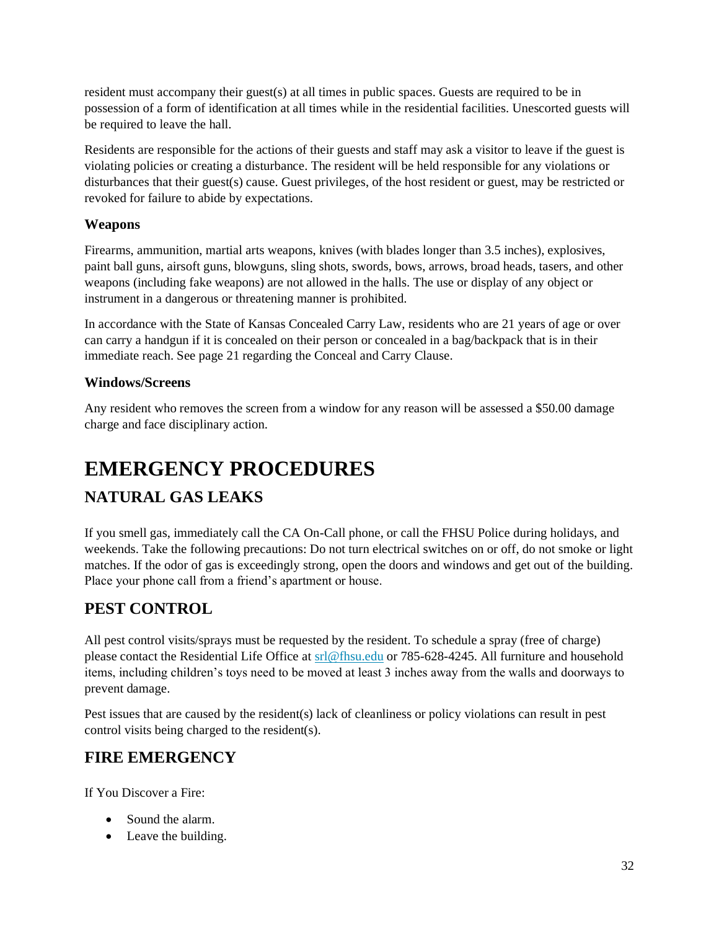resident must accompany their guest(s) at all times in public spaces. Guests are required to be in possession of a form of identification at all times while in the residential facilities. Unescorted guests will be required to leave the hall.

Residents are responsible for the actions of their guests and staff may ask a visitor to leave if the guest is violating policies or creating a disturbance. The resident will be held responsible for any violations or disturbances that their guest(s) cause. Guest privileges, of the host resident or guest, may be restricted or revoked for failure to abide by expectations.

#### **Weapons**

Firearms, ammunition, martial arts weapons, knives (with blades longer than 3.5 inches), explosives, paint ball guns, airsoft guns, blowguns, sling shots, swords, bows, arrows, broad heads, tasers, and other weapons (including fake weapons) are not allowed in the halls. The use or display of any object or instrument in a dangerous or threatening manner is prohibited.

In accordance with the State of Kansas Concealed Carry Law, residents who are 21 years of age or over can carry a handgun if it is concealed on their person or concealed in a bag/backpack that is in their immediate reach. See page 21 regarding the Conceal and Carry Clause.

#### **Windows/Screens**

Any resident who removes the screen from a window for any reason will be assessed a \$50.00 damage charge and face disciplinary action.

# <span id="page-32-0"></span>**EMERGENCY PROCEDURES**

#### <span id="page-32-1"></span>**NATURAL GAS LEAKS**

If you smell gas, immediately call the CA On-Call phone, or call the FHSU Police during holidays, and weekends. Take the following precautions: Do not turn electrical switches on or off, do not smoke or light matches. If the odor of gas is exceedingly strong, open the doors and windows and get out of the building. Place your phone call from a friend's apartment or house.

#### <span id="page-32-2"></span>**PEST CONTROL**

All pest control visits/sprays must be requested by the resident. To schedule a spray (free of charge) please contact the Residential Life Office at [srl@fhsu.edu](mailto:srl@fhsu.edu) or 785-628-4245. All furniture and household items, including children's toys need to be moved at least 3 inches away from the walls and doorways to prevent damage.

Pest issues that are caused by the resident(s) lack of cleanliness or policy violations can result in pest control visits being charged to the resident(s).

#### <span id="page-32-3"></span>**FIRE EMERGENCY**

If You Discover a Fire:

- Sound the alarm.
- Leave the building.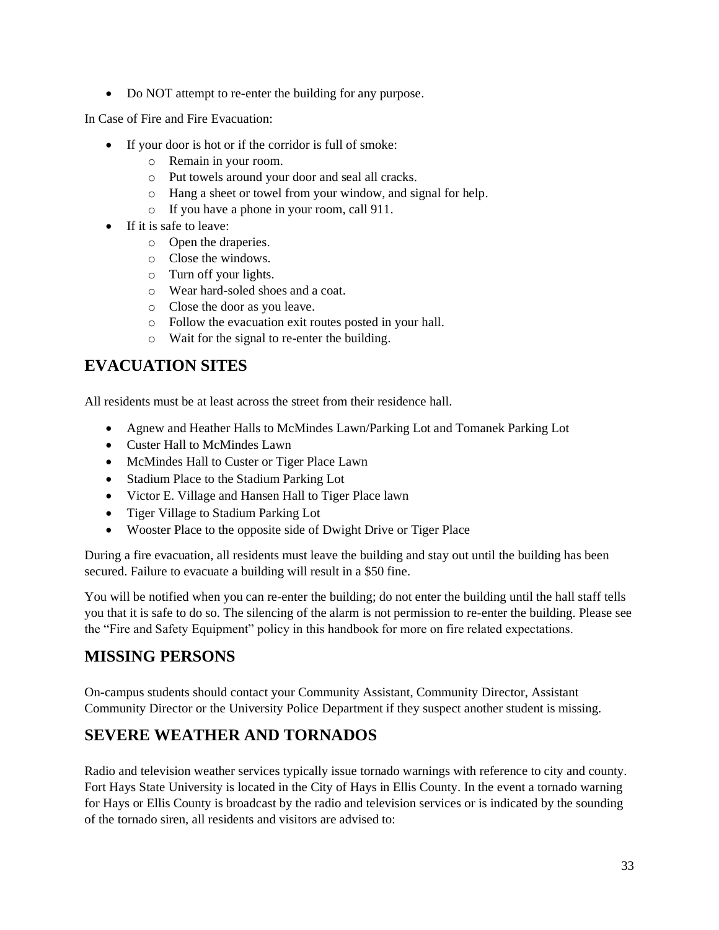• Do NOT attempt to re-enter the building for any purpose.

In Case of Fire and Fire Evacuation:

- If your door is hot or if the corridor is full of smoke:
	- o Remain in your room.
	- o Put towels around your door and seal all cracks.
	- o Hang a sheet or towel from your window, and signal for help.
	- o If you have a phone in your room, call 911.
- If it is safe to leave:
	- o Open the draperies.
	- o Close the windows.
	- o Turn off your lights.
	- o Wear hard-soled shoes and a coat.
	- o Close the door as you leave.
	- o Follow the evacuation exit routes posted in your hall.
	- o Wait for the signal to re-enter the building.

#### <span id="page-33-0"></span>**EVACUATION SITES**

All residents must be at least across the street from their residence hall.

- Agnew and Heather Halls to McMindes Lawn/Parking Lot and Tomanek Parking Lot
- Custer Hall to McMindes Lawn
- McMindes Hall to Custer or Tiger Place Lawn
- Stadium Place to the Stadium Parking Lot
- Victor E. Village and Hansen Hall to Tiger Place lawn
- Tiger Village to Stadium Parking Lot
- Wooster Place to the opposite side of Dwight Drive or Tiger Place

During a fire evacuation, all residents must leave the building and stay out until the building has been secured. Failure to evacuate a building will result in a \$50 fine.

You will be notified when you can re-enter the building; do not enter the building until the hall staff tells you that it is safe to do so. The silencing of the alarm is not permission to re-enter the building. Please see the "Fire and Safety Equipment" policy in this handbook for more on fire related expectations.

#### <span id="page-33-1"></span>**MISSING PERSONS**

On-campus students should contact your Community Assistant, Community Director, Assistant Community Director or the University Police Department if they suspect another student is missing.

#### <span id="page-33-2"></span>**SEVERE WEATHER AND TORNADOS**

Radio and television weather services typically issue tornado warnings with reference to city and county. Fort Hays State University is located in the City of Hays in Ellis County. In the event a tornado warning for Hays or Ellis County is broadcast by the radio and television services or is indicated by the sounding of the tornado siren, all residents and visitors are advised to: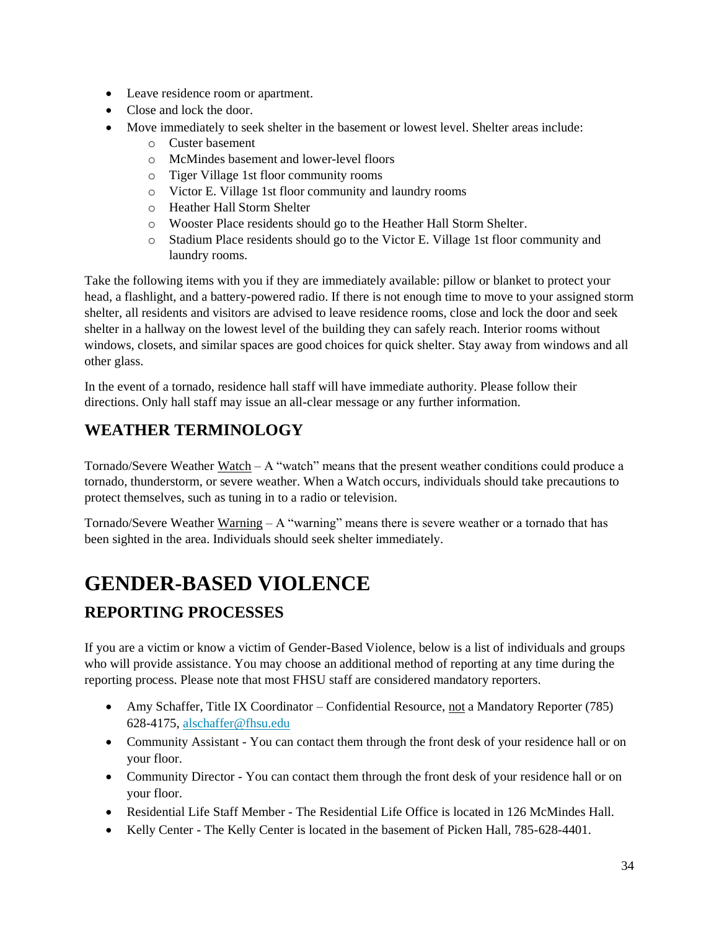- Leave residence room or apartment.
- Close and lock the door.
- Move immediately to seek shelter in the basement or lowest level. Shelter areas include:
	- o Custer basement
	- o McMindes basement and lower-level floors
	- o Tiger Village 1st floor community rooms
	- o Victor E. Village 1st floor community and laundry rooms
	- o Heather Hall Storm Shelter
	- o Wooster Place residents should go to the Heather Hall Storm Shelter.
	- o Stadium Place residents should go to the Victor E. Village 1st floor community and laundry rooms.

Take the following items with you if they are immediately available: pillow or blanket to protect your head, a flashlight, and a battery-powered radio. If there is not enough time to move to your assigned storm shelter, all residents and visitors are advised to leave residence rooms, close and lock the door and seek shelter in a hallway on the lowest level of the building they can safely reach. Interior rooms without windows, closets, and similar spaces are good choices for quick shelter. Stay away from windows and all other glass.

In the event of a tornado, residence hall staff will have immediate authority. Please follow their directions. Only hall staff may issue an all-clear message or any further information.

#### <span id="page-34-0"></span>**WEATHER TERMINOLOGY**

Tornado/Severe Weather Watch – A "watch" means that the present weather conditions could produce a tornado, thunderstorm, or severe weather. When a Watch occurs, individuals should take precautions to protect themselves, such as tuning in to a radio or television.

Tornado/Severe Weather  $\frac{Warning}{ } - A$  "warning" means there is severe weather or a tornado that has been sighted in the area. Individuals should seek shelter immediately.

# <span id="page-34-1"></span>**GENDER-BASED VIOLENCE**

#### <span id="page-34-2"></span>**REPORTING PROCESSES**

If you are a victim or know a victim of Gender-Based Violence, below is a list of individuals and groups who will provide assistance. You may choose an additional method of reporting at any time during the reporting process. Please note that most FHSU staff are considered mandatory reporters.

- Amy Schaffer, Title IX Coordinator Confidential Resource, not a Mandatory Reporter (785) 628-4175, [alschaffer@fhsu.edu](mailto:alschaffer@fhsu.edu)
- Community Assistant You can contact them through the front desk of your residence hall or on your floor.
- Community Director You can contact them through the front desk of your residence hall or on your floor.
- Residential Life Staff Member The Residential Life Office is located in 126 McMindes Hall.
- Kelly Center The Kelly Center is located in the basement of Picken Hall, 785-628-4401.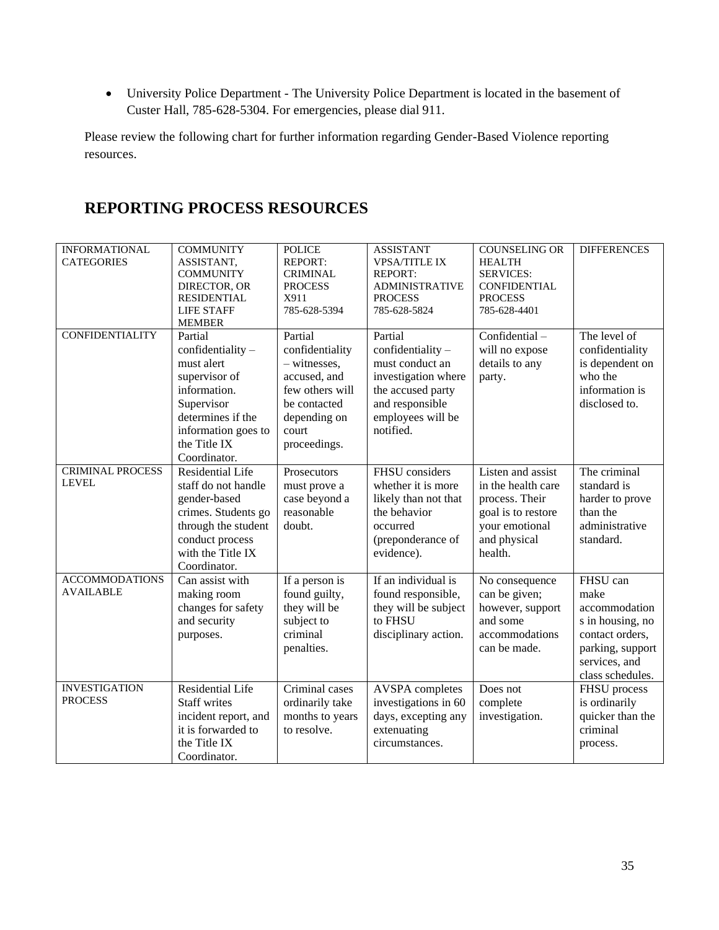• University Police Department - The University Police Department is located in the basement of Custer Hall, 785-628-5304. For emergencies, please dial 911.

Please review the following chart for further information regarding Gender-Based Violence reporting resources.

#### <span id="page-35-0"></span>**REPORTING PROCESS RESOURCES**

<span id="page-35-1"></span>

| <b>INFORMATIONAL</b><br><b>CATEGORIES</b> | <b>COMMUNITY</b><br>ASSISTANT,<br><b>COMMUNITY</b><br>DIRECTOR, OR<br><b>RESIDENTIAL</b><br><b>LIFE STAFF</b><br><b>MEMBER</b>                                          | <b>POLICE</b><br><b>REPORT:</b><br><b>CRIMINAL</b><br><b>PROCESS</b><br>X911<br>785-628-5394                                           | <b>ASSISTANT</b><br><b>VPSA/TITLE IX</b><br><b>REPORT:</b><br><b>ADMINISTRATIVE</b><br><b>PROCESS</b><br>785-628-5824                            | <b>COUNSELING OR</b><br><b>HEALTH</b><br><b>SERVICES:</b><br><b>CONFIDENTIAL</b><br><b>PROCESS</b><br>785-628-4401           | <b>DIFFERENCES</b>                                                                                                                |
|-------------------------------------------|-------------------------------------------------------------------------------------------------------------------------------------------------------------------------|----------------------------------------------------------------------------------------------------------------------------------------|--------------------------------------------------------------------------------------------------------------------------------------------------|------------------------------------------------------------------------------------------------------------------------------|-----------------------------------------------------------------------------------------------------------------------------------|
| <b>CONFIDENTIALITY</b>                    | Partial<br>$confidentiality -$<br>must alert<br>supervisor of<br>information.<br>Supervisor<br>determines if the<br>information goes to<br>the Title IX<br>Coordinator. | Partial<br>confidentiality<br>- witnesses,<br>accused, and<br>few others will<br>be contacted<br>depending on<br>court<br>proceedings. | Partial<br>confidentiality -<br>must conduct an<br>investigation where<br>the accused party<br>and responsible<br>employees will be<br>notified. | Confidential-<br>will no expose<br>details to any<br>party.                                                                  | The level of<br>confidentiality<br>is dependent on<br>who the<br>information is<br>disclosed to.                                  |
| <b>CRIMINAL PROCESS</b><br><b>LEVEL</b>   | <b>Residential Life</b><br>staff do not handle<br>gender-based<br>crimes. Students go<br>through the student<br>conduct process<br>with the Title IX<br>Coordinator.    | Prosecutors<br>must prove a<br>case beyond a<br>reasonable<br>doubt.                                                                   | <b>FHSU</b> considers<br>whether it is more<br>likely than not that<br>the behavior<br>occurred<br>(preponderance of<br>evidence).               | Listen and assist<br>in the health care<br>process. Their<br>goal is to restore<br>your emotional<br>and physical<br>health. | The criminal<br>standard is<br>harder to prove<br>than the<br>administrative<br>standard.                                         |
| <b>ACCOMMODATIONS</b><br><b>AVAILABLE</b> | Can assist with<br>making room<br>changes for safety<br>and security<br>purposes.                                                                                       | If a person is<br>found guilty,<br>they will be<br>subject to<br>criminal<br>penalties.                                                | If an individual is<br>found responsible,<br>they will be subject<br>to FHSU<br>disciplinary action.                                             | No consequence<br>can be given;<br>however, support<br>and some<br>accommodations<br>can be made.                            | FHSU can<br>make<br>accommodation<br>s in housing, no<br>contact orders,<br>parking, support<br>services, and<br>class schedules. |
| <b>INVESTIGATION</b><br><b>PROCESS</b>    | <b>Residential Life</b><br><b>Staff writes</b><br>incident report, and<br>it is forwarded to<br>the Title IX<br>Coordinator.                                            | Criminal cases<br>ordinarily take<br>months to years<br>to resolve.                                                                    | <b>AVSPA</b> completes<br>investigations in 60<br>days, excepting any<br>extenuating<br>circumstances.                                           | Does not<br>complete<br>investigation.                                                                                       | FHSU process<br>is ordinarily<br>quicker than the<br>criminal<br>process.                                                         |